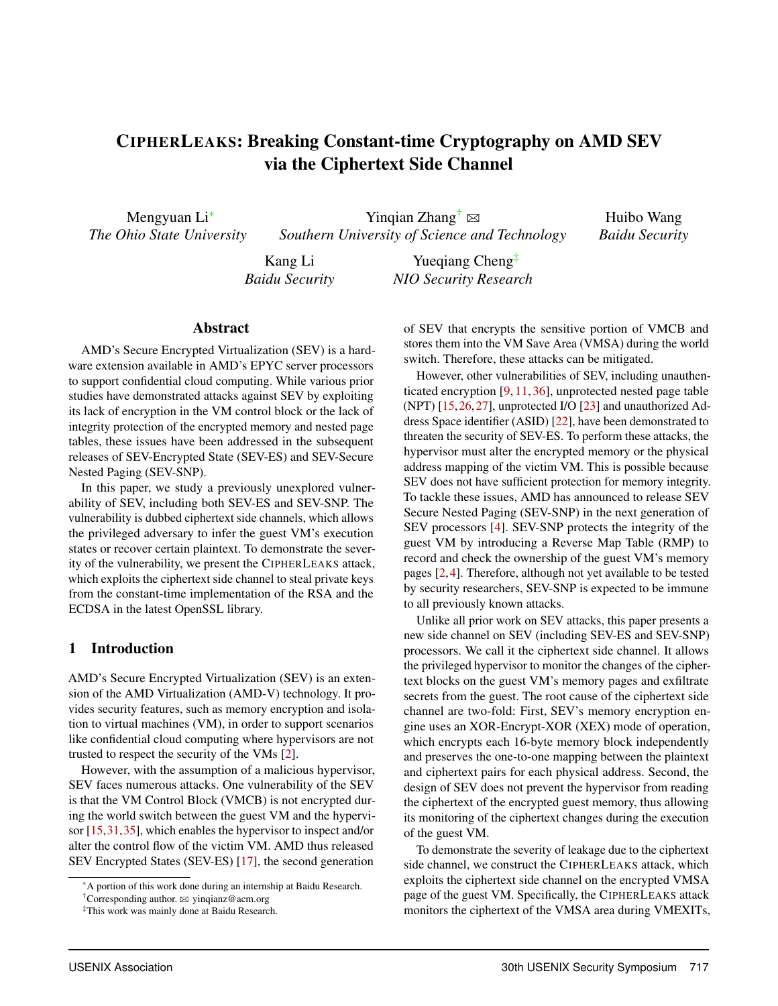# CIPHERLEAKS: Breaking Constant-time Cryptography on AMD SEV via the Ciphertext Side Channel

Mengyuan Li<sup>∗</sup> *The Ohio State University*

Yingian Zhang<sup>†</sup>  $\boxtimes$ *Southern University of Science and Technology*

Huibo Wang *Baidu Security*

Kang Li *Baidu Security*

Yuegiang Cheng<sup>‡</sup> *NIO Security Research*

#### Abstract

AMD's Secure Encrypted Virtualization (SEV) is a hardware extension available in AMD's EPYC server processors to support confidential cloud computing. While various prior studies have demonstrated attacks against SEV by exploiting its lack of encryption in the VM control block or the lack of integrity protection of the encrypted memory and nested page tables, these issues have been addressed in the subsequent releases of SEV-Encrypted State (SEV-ES) and SEV-Secure Nested Paging (SEV-SNP).

In this paper, we study a previously unexplored vulnerability of SEV, including both SEV-ES and SEV-SNP. The vulnerability is dubbed ciphertext side channels, which allows the privileged adversary to infer the guest VM's execution states or recover certain plaintext. To demonstrate the severity of the vulnerability, we present the CIPHERLEAKS attack, which exploits the ciphertext side channel to steal private keys from the constant-time implementation of the RSA and the ECDSA in the latest OpenSSL library.

# 1 Introduction

AMD's Secure Encrypted Virtualization (SEV) is an extension of the AMD Virtualization (AMD-V) technology. It provides security features, such as memory encryption and isolation to virtual machines (VM), in order to support scenarios like confidential cloud computing where hypervisors are not trusted to respect the security of the VMs [2].

However, with the assumption of a malicious hypervisor, SEV faces numerous attacks. One vulnerability of the SEV is that the VM Control Block (VMCB) is not encrypted during the world switch between the guest VM and the hypervisor [15,31,35], which enables the hypervisor to inspect and/or alter the control flow of the victim VM. AMD thus released SEV Encrypted States (SEV-ES) [17], the second generation

of SEV that encrypts the sensitive portion of VMCB and stores them into the VM Save Area (VMSA) during the world switch. Therefore, these attacks can be mitigated.

However, other vulnerabilities of SEV, including unauthenticated encryption [9, 11, 36], unprotected nested page table (NPT) [15,26,27], unprotected I/O [23] and unauthorized Address Space identifier (ASID) [22], have been demonstrated to threaten the security of SEV-ES. To perform these attacks, the hypervisor must alter the encrypted memory or the physical address mapping of the victim VM. This is possible because SEV does not have sufficient protection for memory integrity. To tackle these issues, AMD has announced to release SEV Secure Nested Paging (SEV-SNP) in the next generation of SEV processors [4]. SEV-SNP protects the integrity of the guest VM by introducing a Reverse Map Table (RMP) to record and check the ownership of the guest VM's memory pages [2,4]. Therefore, although not yet available to be tested by security researchers, SEV-SNP is expected to be immune to all previously known attacks.

Unlike all prior work on SEV attacks, this paper presents a new side channel on SEV (including SEV-ES and SEV-SNP) processors. We call it the ciphertext side channel. It allows the privileged hypervisor to monitor the changes of the ciphertext blocks on the guest VM's memory pages and exfiltrate secrets from the guest. The root cause of the ciphertext side channel are two-fold: First, SEV's memory encryption engine uses an XOR-Encrypt-XOR (XEX) mode of operation, which encrypts each 16-byte memory block independently and preserves the one-to-one mapping between the plaintext and ciphertext pairs for each physical address. Second, the design of SEV does not prevent the hypervisor from reading the ciphertext of the encrypted guest memory, thus allowing its monitoring of the ciphertext changes during the execution of the guest VM.

To demonstrate the severity of leakage due to the ciphertext side channel, we construct the CIPHERLEAKS attack, which exploits the ciphertext side channel on the encrypted VMSA page of the guest VM. Specifically, the CIPHERLEAKS attack monitors the ciphertext of the VMSA area during VMEXITs,

<sup>∗</sup>A portion of this work done during an internship at Baidu Research.

<sup>&</sup>lt;sup>†</sup>Corresponding author.  $\boxtimes$  yinqianz@acm.org

<sup>‡</sup>This work was mainly done at Baidu Research.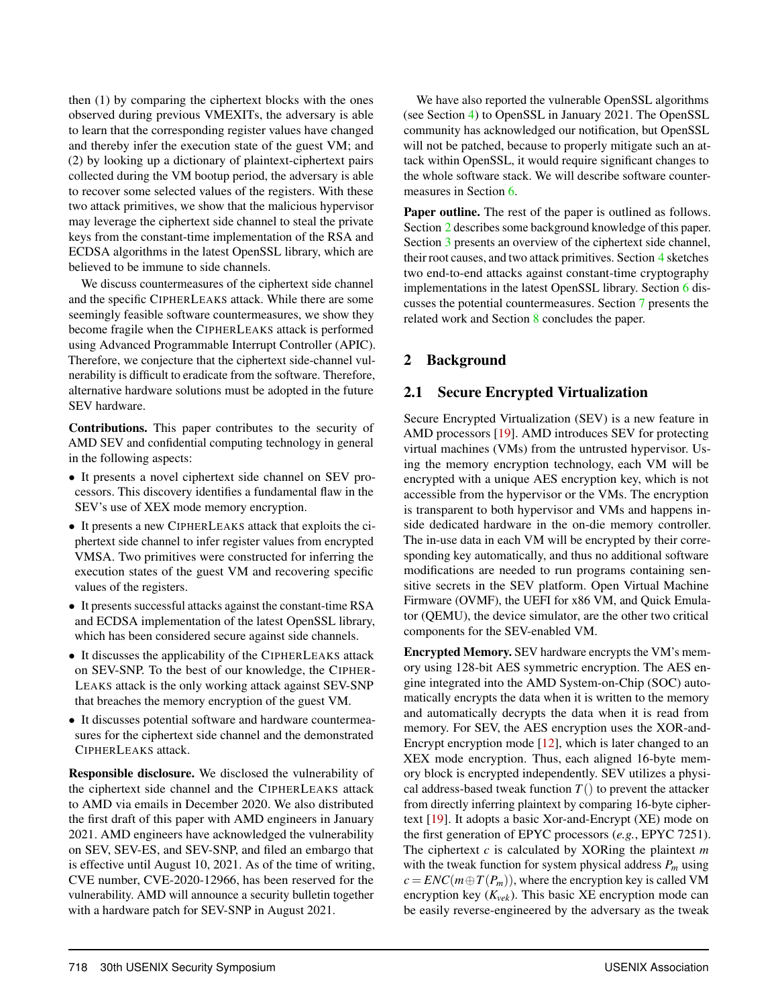then (1) by comparing the ciphertext blocks with the ones observed during previous VMEXITs, the adversary is able to learn that the corresponding register values have changed and thereby infer the execution state of the guest VM; and (2) by looking up a dictionary of plaintext-ciphertext pairs collected during the VM bootup period, the adversary is able to recover some selected values of the registers. With these two attack primitives, we show that the malicious hypervisor may leverage the ciphertext side channel to steal the private keys from the constant-time implementation of the RSA and ECDSA algorithms in the latest OpenSSL library, which are believed to be immune to side channels.

We discuss countermeasures of the ciphertext side channel and the specific CIPHERLEAKS attack. While there are some seemingly feasible software countermeasures, we show they become fragile when the CIPHERLEAKS attack is performed using Advanced Programmable Interrupt Controller (APIC). Therefore, we conjecture that the ciphertext side-channel vulnerability is difficult to eradicate from the software. Therefore, alternative hardware solutions must be adopted in the future SEV hardware.

Contributions. This paper contributes to the security of AMD SEV and confidential computing technology in general in the following aspects:

- It presents a novel ciphertext side channel on SEV processors. This discovery identifies a fundamental flaw in the SEV's use of XEX mode memory encryption.
- It presents a new CIPHERLEAKS attack that exploits the ciphertext side channel to infer register values from encrypted VMSA. Two primitives were constructed for inferring the execution states of the guest VM and recovering specific values of the registers.
- It presents successful attacks against the constant-time RSA and ECDSA implementation of the latest OpenSSL library, which has been considered secure against side channels.
- It discusses the applicability of the CIPHERLEAKS attack on SEV-SNP. To the best of our knowledge, the CIPHER-LEAKS attack is the only working attack against SEV-SNP that breaches the memory encryption of the guest VM.
- It discusses potential software and hardware countermeasures for the ciphertext side channel and the demonstrated CIPHERLEAKS attack.

Responsible disclosure. We disclosed the vulnerability of the ciphertext side channel and the CIPHERLEAKS attack to AMD via emails in December 2020. We also distributed the first draft of this paper with AMD engineers in January 2021. AMD engineers have acknowledged the vulnerability on SEV, SEV-ES, and SEV-SNP, and filed an embargo that is effective until August 10, 2021. As of the time of writing, CVE number, CVE-2020-12966, has been reserved for the vulnerability. AMD will announce a security bulletin together with a hardware patch for SEV-SNP in August 2021.

We have also reported the vulnerable OpenSSL algorithms (see Section 4) to OpenSSL in January 2021. The OpenSSL community has acknowledged our notification, but OpenSSL will not be patched, because to properly mitigate such an attack within OpenSSL, it would require significant changes to the whole software stack. We will describe software countermeasures in Section 6.

Paper outline. The rest of the paper is outlined as follows. Section 2 describes some background knowledge of this paper. Section 3 presents an overview of the ciphertext side channel, their root causes, and two attack primitives. Section 4 sketches two end-to-end attacks against constant-time cryptography implementations in the latest OpenSSL library. Section 6 discusses the potential countermeasures. Section 7 presents the related work and Section 8 concludes the paper.

# 2 Background

### 2.1 Secure Encrypted Virtualization

Secure Encrypted Virtualization (SEV) is a new feature in AMD processors [19]. AMD introduces SEV for protecting virtual machines (VMs) from the untrusted hypervisor. Using the memory encryption technology, each VM will be encrypted with a unique AES encryption key, which is not accessible from the hypervisor or the VMs. The encryption is transparent to both hypervisor and VMs and happens inside dedicated hardware in the on-die memory controller. The in-use data in each VM will be encrypted by their corresponding key automatically, and thus no additional software modifications are needed to run programs containing sensitive secrets in the SEV platform. Open Virtual Machine Firmware (OVMF), the UEFI for x86 VM, and Quick Emulator (QEMU), the device simulator, are the other two critical components for the SEV-enabled VM.

Encrypted Memory. SEV hardware encrypts the VM's memory using 128-bit AES symmetric encryption. The AES engine integrated into the AMD System-on-Chip (SOC) automatically encrypts the data when it is written to the memory and automatically decrypts the data when it is read from memory. For SEV, the AES encryption uses the XOR-and-Encrypt encryption mode  $[12]$ , which is later changed to an XEX mode encryption. Thus, each aligned 16-byte memory block is encrypted independently. SEV utilizes a physical address-based tweak function  $T()$  to prevent the attacker from directly inferring plaintext by comparing 16-byte ciphertext [19]. It adopts a basic Xor-and-Encrypt (XE) mode on the first generation of EPYC processors (*e.g.*, EPYC 7251). The ciphertext *c* is calculated by XORing the plaintext *m* with the tweak function for system physical address  $P_m$  using  $c = ENC(m \oplus T(P_m))$ , where the encryption key is called VM encryption key  $(K_{vek})$ . This basic XE encryption mode can be easily reverse-engineered by the adversary as the tweak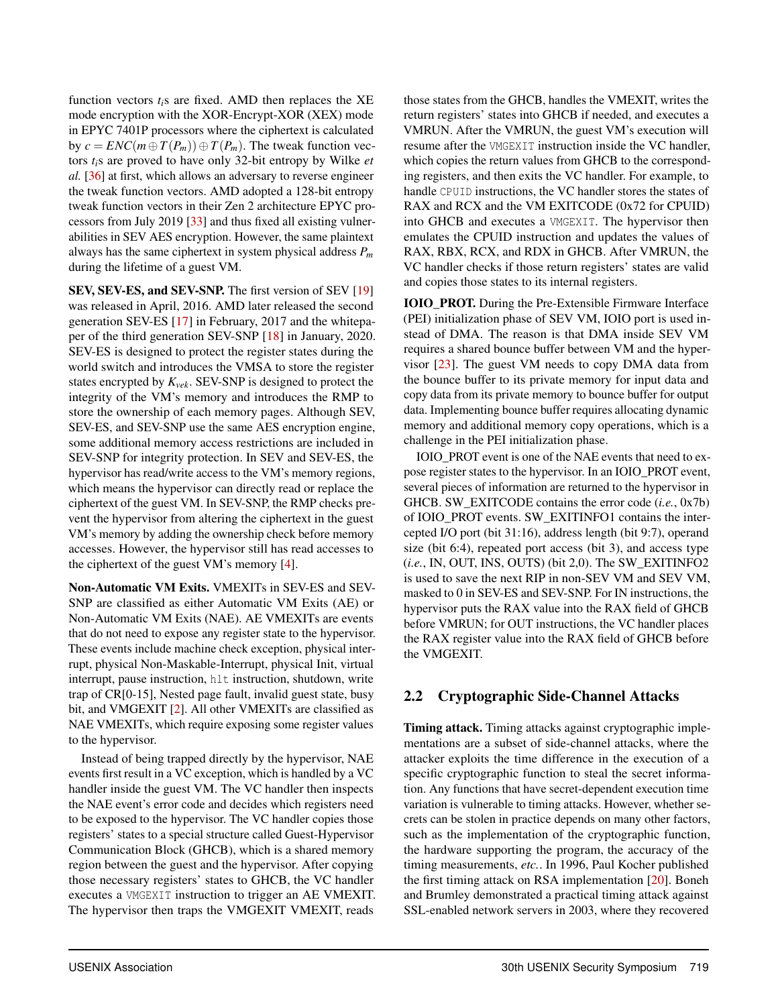function vectors *ti*s are fixed. AMD then replaces the XE mode encryption with the XOR-Encrypt-XOR (XEX) mode in EPYC 7401P processors where the ciphertext is calculated by  $c = ENC(m \oplus T(P_m)) \oplus T(P_m)$ . The tweak function vectors *ti*s are proved to have only 32-bit entropy by Wilke *et al.* [36] at first, which allows an adversary to reverse engineer the tweak function vectors. AMD adopted a 128-bit entropy tweak function vectors in their Zen 2 architecture EPYC processors from July 2019 [33] and thus fixed all existing vulnerabilities in SEV AES encryption. However, the same plaintext always has the same ciphertext in system physical address *P<sup>m</sup>* during the lifetime of a guest VM.

SEV, SEV-ES, and SEV-SNP. The first version of SEV [19] was released in April, 2016. AMD later released the second generation SEV-ES [17] in February, 2017 and the whitepaper of the third generation SEV-SNP [18] in January, 2020. SEV-ES is designed to protect the register states during the world switch and introduces the VMSA to store the register states encrypted by *Kvek*. SEV-SNP is designed to protect the integrity of the VM's memory and introduces the RMP to store the ownership of each memory pages. Although SEV, SEV-ES, and SEV-SNP use the same AES encryption engine, some additional memory access restrictions are included in SEV-SNP for integrity protection. In SEV and SEV-ES, the hypervisor has read/write access to the VM's memory regions, which means the hypervisor can directly read or replace the ciphertext of the guest VM. In SEV-SNP, the RMP checks prevent the hypervisor from altering the ciphertext in the guest VM's memory by adding the ownership check before memory accesses. However, the hypervisor still has read accesses to the ciphertext of the guest VM's memory [4].

Non-Automatic VM Exits. VMEXITs in SEV-ES and SEV-SNP are classified as either Automatic VM Exits (AE) or Non-Automatic VM Exits (NAE). AE VMEXITs are events that do not need to expose any register state to the hypervisor. These events include machine check exception, physical interrupt, physical Non-Maskable-Interrupt, physical Init, virtual interrupt, pause instruction, hlt instruction, shutdown, write trap of CR[0-15], Nested page fault, invalid guest state, busy bit, and VMGEXIT [2]. All other VMEXITs are classified as NAE VMEXITs, which require exposing some register values to the hypervisor.

Instead of being trapped directly by the hypervisor, NAE events first result in a VC exception, which is handled by a VC handler inside the guest VM. The VC handler then inspects the NAE event's error code and decides which registers need to be exposed to the hypervisor. The VC handler copies those registers' states to a special structure called Guest-Hypervisor Communication Block (GHCB), which is a shared memory region between the guest and the hypervisor. After copying those necessary registers' states to GHCB, the VC handler executes a VMGEXIT instruction to trigger an AE VMEXIT. The hypervisor then traps the VMGEXIT VMEXIT, reads

those states from the GHCB, handles the VMEXIT, writes the return registers' states into GHCB if needed, and executes a VMRUN. After the VMRUN, the guest VM's execution will resume after the VMGEXIT instruction inside the VC handler, which copies the return values from GHCB to the corresponding registers, and then exits the VC handler. For example, to handle CPUID instructions, the VC handler stores the states of RAX and RCX and the VM EXITCODE (0x72 for CPUID) into GHCB and executes a VMGEXIT. The hypervisor then emulates the CPUID instruction and updates the values of RAX, RBX, RCX, and RDX in GHCB. After VMRUN, the VC handler checks if those return registers' states are valid and copies those states to its internal registers.

IOIO\_PROT. During the Pre-Extensible Firmware Interface (PEI) initialization phase of SEV VM, IOIO port is used instead of DMA. The reason is that DMA inside SEV VM requires a shared bounce buffer between VM and the hypervisor [23]. The guest VM needs to copy DMA data from the bounce buffer to its private memory for input data and copy data from its private memory to bounce buffer for output data. Implementing bounce buffer requires allocating dynamic memory and additional memory copy operations, which is a challenge in the PEI initialization phase.

IOIO\_PROT event is one of the NAE events that need to expose register states to the hypervisor. In an IOIO\_PROT event, several pieces of information are returned to the hypervisor in GHCB. SW\_EXITCODE contains the error code (*i.e.*, 0x7b) of IOIO\_PROT events. SW\_EXITINFO1 contains the intercepted I/O port (bit 31:16), address length (bit 9:7), operand size (bit 6:4), repeated port access (bit 3), and access type (*i.e.*, IN, OUT, INS, OUTS) (bit 2,0). The SW\_EXITINFO2 is used to save the next RIP in non-SEV VM and SEV VM, masked to 0 in SEV-ES and SEV-SNP. For IN instructions, the hypervisor puts the RAX value into the RAX field of GHCB before VMRUN; for OUT instructions, the VC handler places the RAX register value into the RAX field of GHCB before the VMGEXIT.

# 2.2 Cryptographic Side-Channel Attacks

Timing attack. Timing attacks against cryptographic implementations are a subset of side-channel attacks, where the attacker exploits the time difference in the execution of a specific cryptographic function to steal the secret information. Any functions that have secret-dependent execution time variation is vulnerable to timing attacks. However, whether secrets can be stolen in practice depends on many other factors, such as the implementation of the cryptographic function, the hardware supporting the program, the accuracy of the timing measurements, *etc.*. In 1996, Paul Kocher published the first timing attack on RSA implementation [20]. Boneh and Brumley demonstrated a practical timing attack against SSL-enabled network servers in 2003, where they recovered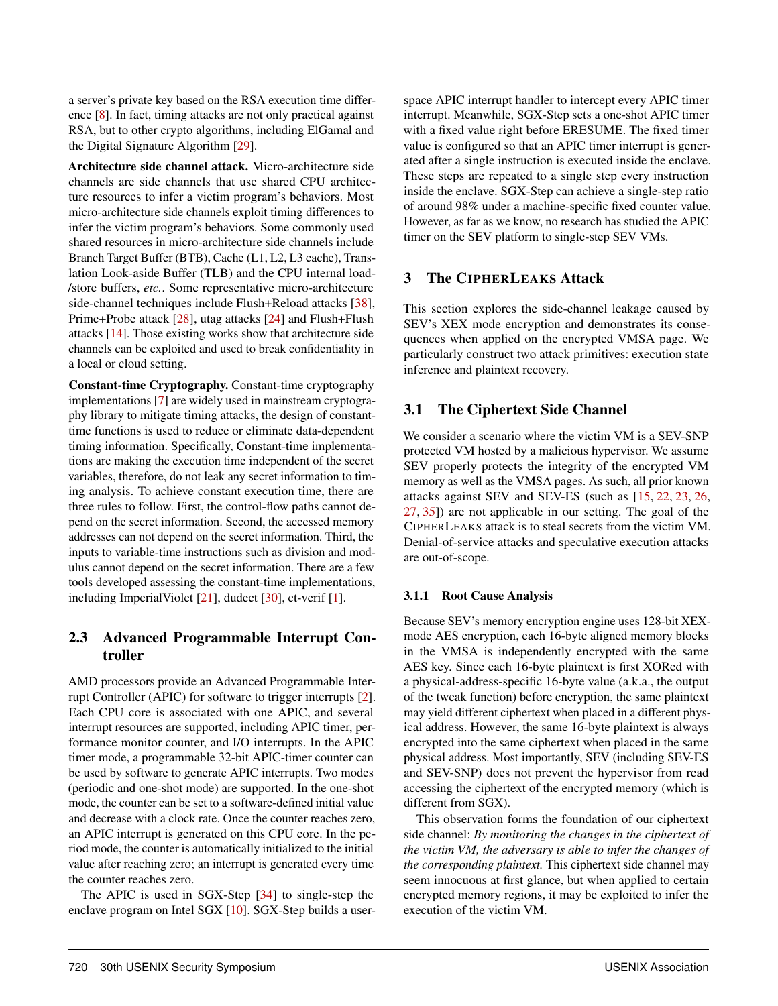a server's private key based on the RSA execution time difference [8]. In fact, timing attacks are not only practical against RSA, but to other crypto algorithms, including ElGamal and the Digital Signature Algorithm [29].

Architecture side channel attack. Micro-architecture side channels are side channels that use shared CPU architecture resources to infer a victim program's behaviors. Most micro-architecture side channels exploit timing differences to infer the victim program's behaviors. Some commonly used shared resources in micro-architecture side channels include Branch Target Buffer (BTB), Cache (L1, L2, L3 cache), Translation Look-aside Buffer (TLB) and the CPU internal load- /store buffers, *etc.*. Some representative micro-architecture side-channel techniques include Flush+Reload attacks [38], Prime+Probe attack [28], utag attacks [24] and Flush+Flush attacks [14]. Those existing works show that architecture side channels can be exploited and used to break confidentiality in a local or cloud setting.

Constant-time Cryptography. Constant-time cryptography implementations [7] are widely used in mainstream cryptography library to mitigate timing attacks, the design of constanttime functions is used to reduce or eliminate data-dependent timing information. Specifically, Constant-time implementations are making the execution time independent of the secret variables, therefore, do not leak any secret information to timing analysis. To achieve constant execution time, there are three rules to follow. First, the control-flow paths cannot depend on the secret information. Second, the accessed memory addresses can not depend on the secret information. Third, the inputs to variable-time instructions such as division and modulus cannot depend on the secret information. There are a few tools developed assessing the constant-time implementations, including ImperialViolet [21], dudect [30], ct-verif [1].

# 2.3 Advanced Programmable Interrupt Controller

AMD processors provide an Advanced Programmable Interrupt Controller (APIC) for software to trigger interrupts [2]. Each CPU core is associated with one APIC, and several interrupt resources are supported, including APIC timer, performance monitor counter, and I/O interrupts. In the APIC timer mode, a programmable 32-bit APIC-timer counter can be used by software to generate APIC interrupts. Two modes (periodic and one-shot mode) are supported. In the one-shot mode, the counter can be set to a software-defined initial value and decrease with a clock rate. Once the counter reaches zero, an APIC interrupt is generated on this CPU core. In the period mode, the counter is automatically initialized to the initial value after reaching zero; an interrupt is generated every time the counter reaches zero.

The APIC is used in SGX-Step [34] to single-step the enclave program on Intel SGX [10]. SGX-Step builds a user-

space APIC interrupt handler to intercept every APIC timer interrupt. Meanwhile, SGX-Step sets a one-shot APIC timer with a fixed value right before ERESUME. The fixed timer value is configured so that an APIC timer interrupt is generated after a single instruction is executed inside the enclave. These steps are repeated to a single step every instruction inside the enclave. SGX-Step can achieve a single-step ratio of around 98% under a machine-specific fixed counter value. However, as far as we know, no research has studied the APIC timer on the SEV platform to single-step SEV VMs.

# 3 The CIPHERLEAKS Attack

This section explores the side-channel leakage caused by SEV's XEX mode encryption and demonstrates its consequences when applied on the encrypted VMSA page. We particularly construct two attack primitives: execution state inference and plaintext recovery.

# 3.1 The Ciphertext Side Channel

We consider a scenario where the victim VM is a SEV-SNP protected VM hosted by a malicious hypervisor. We assume SEV properly protects the integrity of the encrypted VM memory as well as the VMSA pages. As such, all prior known attacks against SEV and SEV-ES (such as [15, 22, 23, 26, 27, 35]) are not applicable in our setting. The goal of the CIPHERLEAKS attack is to steal secrets from the victim VM. Denial-of-service attacks and speculative execution attacks are out-of-scope.

# 3.1.1 Root Cause Analysis

Because SEV's memory encryption engine uses 128-bit XEXmode AES encryption, each 16-byte aligned memory blocks in the VMSA is independently encrypted with the same AES key. Since each 16-byte plaintext is first XORed with a physical-address-specific 16-byte value (a.k.a., the output of the tweak function) before encryption, the same plaintext may yield different ciphertext when placed in a different physical address. However, the same 16-byte plaintext is always encrypted into the same ciphertext when placed in the same physical address. Most importantly, SEV (including SEV-ES and SEV-SNP) does not prevent the hypervisor from read accessing the ciphertext of the encrypted memory (which is different from SGX).

This observation forms the foundation of our ciphertext side channel: *By monitoring the changes in the ciphertext of the victim VM, the adversary is able to infer the changes of the corresponding plaintext.* This ciphertext side channel may seem innocuous at first glance, but when applied to certain encrypted memory regions, it may be exploited to infer the execution of the victim VM.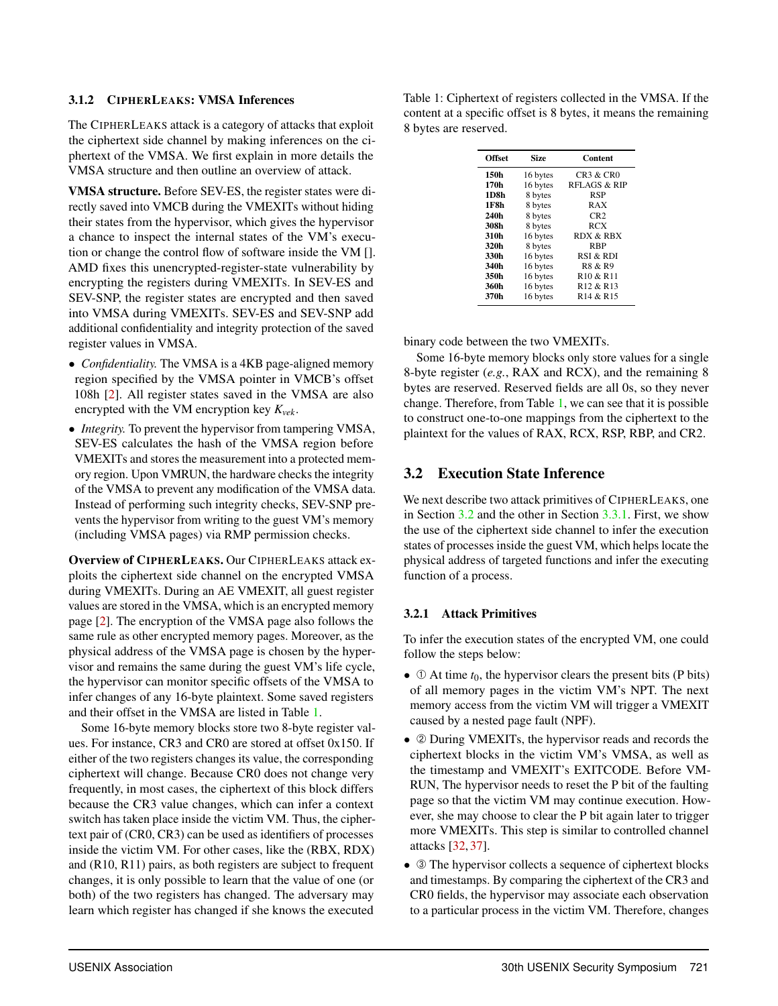# 3.1.2 CIPHERLEAKS: VMSA Inferences

The CIPHERLEAKS attack is a category of attacks that exploit the ciphertext side channel by making inferences on the ciphertext of the VMSA. We first explain in more details the VMSA structure and then outline an overview of attack.

VMSA structure. Before SEV-ES, the register states were directly saved into VMCB during the VMEXITs without hiding their states from the hypervisor, which gives the hypervisor a chance to inspect the internal states of the VM's execution or change the control flow of software inside the VM []. AMD fixes this unencrypted-register-state vulnerability by encrypting the registers during VMEXITs. In SEV-ES and SEV-SNP, the register states are encrypted and then saved into VMSA during VMEXITs. SEV-ES and SEV-SNP add additional confidentiality and integrity protection of the saved register values in VMSA.

- *Confidentiality.* The VMSA is a 4KB page-aligned memory region specified by the VMSA pointer in VMCB's offset 108h [2]. All register states saved in the VMSA are also encrypted with the VM encryption key *Kvek*.
- *Integrity*. To prevent the hypervisor from tampering VMSA, SEV-ES calculates the hash of the VMSA region before VMEXITs and stores the measurement into a protected memory region. Upon VMRUN, the hardware checks the integrity of the VMSA to prevent any modification of the VMSA data. Instead of performing such integrity checks, SEV-SNP prevents the hypervisor from writing to the guest VM's memory (including VMSA pages) via RMP permission checks.

Overview of CIPHERLEAKS. Our CIPHERLEAKS attack exploits the ciphertext side channel on the encrypted VMSA during VMEXITs. During an AE VMEXIT, all guest register values are stored in the VMSA, which is an encrypted memory page [2]. The encryption of the VMSA page also follows the same rule as other encrypted memory pages. Moreover, as the physical address of the VMSA page is chosen by the hypervisor and remains the same during the guest VM's life cycle, the hypervisor can monitor specific offsets of the VMSA to infer changes of any 16-byte plaintext. Some saved registers and their offset in the VMSA are listed in Table 1.

Some 16-byte memory blocks store two 8-byte register values. For instance, CR3 and CR0 are stored at offset 0x150. If either of the two registers changes its value, the corresponding ciphertext will change. Because CR0 does not change very frequently, in most cases, the ciphertext of this block differs because the CR3 value changes, which can infer a context switch has taken place inside the victim VM. Thus, the ciphertext pair of (CR0, CR3) can be used as identifiers of processes inside the victim VM. For other cases, like the (RBX, RDX) and (R10, R11) pairs, as both registers are subject to frequent changes, it is only possible to learn that the value of one (or both) of the two registers has changed. The adversary may learn which register has changed if she knows the executed

Table 1: Ciphertext of registers collected in the VMSA. If the content at a specific offset is 8 bytes, it means the remaining 8 bytes are reserved.

| <b>Offset</b> | Size     | Content                           |
|---------------|----------|-----------------------------------|
| 150h          | 16 bytes | CR3 & CR0                         |
| 170h          | 16 bytes | RFLAGS & RIP                      |
| 1D8h          | 8 bytes  | <b>RSP</b>                        |
| 1F8h          | 8 bytes  | RAX                               |
| 240h          | 8 bytes  | CR2                               |
| 308h          | 8 bytes  | <b>RCX</b>                        |
| 310h          | 16 bytes | <b>RDX &amp; RBX</b>              |
| 320h          | 8 bytes  | <b>RBP</b>                        |
| 330h          | 16 bytes | RSI & RDI                         |
| 340h          | 16 bytes | R8 & R9                           |
| 350h          | 16 bytes | R <sub>10</sub> & R <sub>11</sub> |
| 360h          | 16 bytes | R <sub>12</sub> & R <sub>13</sub> |
| 370h          | 16 bytes | R <sub>14</sub> & R <sub>15</sub> |

binary code between the two VMEXITs.

Some 16-byte memory blocks only store values for a single 8-byte register (*e.g.*, RAX and RCX), and the remaining 8 bytes are reserved. Reserved fields are all 0s, so they never change. Therefore, from Table 1, we can see that it is possible to construct one-to-one mappings from the ciphertext to the plaintext for the values of RAX, RCX, RSP, RBP, and CR2.

# 3.2 Execution State Inference

We next describe two attack primitives of CIPHERLEAKS, one in Section 3.2 and the other in Section 3.3.1. First, we show the use of the ciphertext side channel to infer the execution states of processes inside the guest VM, which helps locate the physical address of targeted functions and infer the executing function of a process.

# 3.2.1 Attack Primitives

To infer the execution states of the encrypted VM, one could follow the steps below:

- $\Phi$  At time  $t_0$ , the hypervisor clears the present bits (P bits) of all memory pages in the victim VM's NPT. The next memory access from the victim VM will trigger a VMEXIT caused by a nested page fault (NPF).
- 2 During VMEXITs, the hypervisor reads and records the ciphertext blocks in the victim VM's VMSA, as well as the timestamp and VMEXIT's EXITCODE. Before VM-RUN, The hypervisor needs to reset the P bit of the faulting page so that the victim VM may continue execution. However, she may choose to clear the P bit again later to trigger more VMEXITs. This step is similar to controlled channel attacks [32, 37].
- $\circ$  The hypervisor collects a sequence of ciphertext blocks and timestamps. By comparing the ciphertext of the CR3 and CR0 fields, the hypervisor may associate each observation to a particular process in the victim VM. Therefore, changes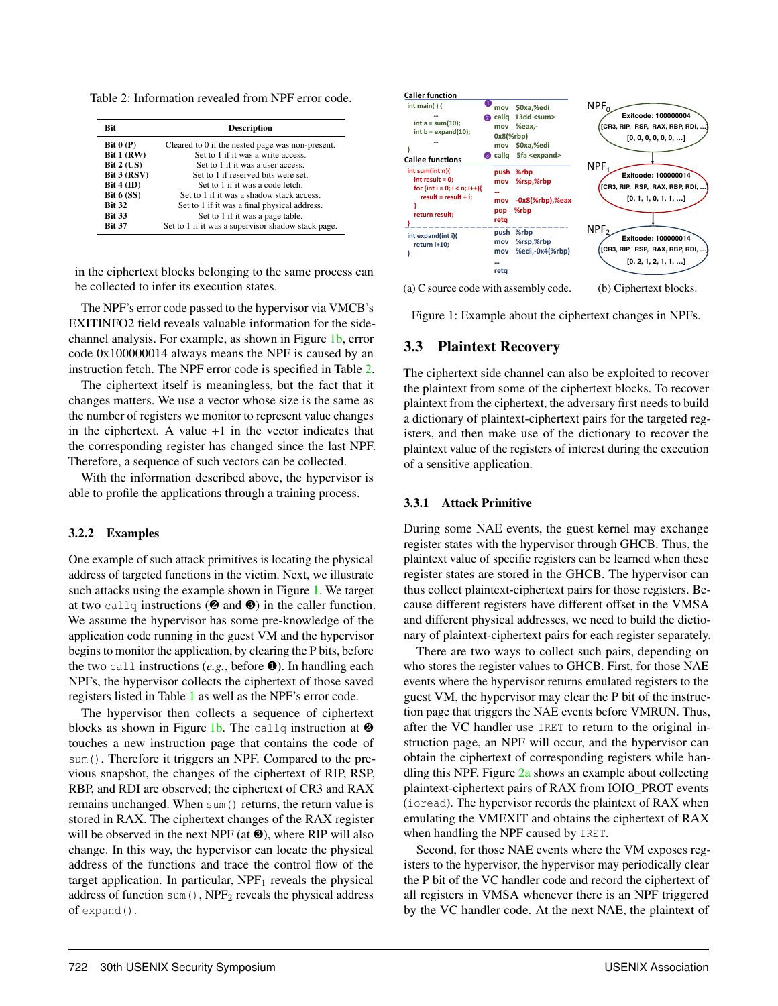Table 2: Information revealed from NPF error code.

| <b>Rit</b>        | <b>Description</b>                                 |
|-------------------|----------------------------------------------------|
| Bit $0(P)$        | Cleared to 0 if the nested page was non-present.   |
| <b>Bit 1 (RW)</b> | Set to 1 if it was a write access.                 |
| Bit 2 (US)        | Set to 1 if it was a user access.                  |
| Bit 3 (RSV)       | Set to 1 if reserved bits were set.                |
| Bit $4$ (ID)      | Set to 1 if it was a code fetch                    |
| <b>Bit 6 (SS)</b> | Set to 1 if it was a shadow stack access.          |
| <b>Bit 32</b>     | Set to 1 if it was a final physical address.       |
| <b>Bit 33</b>     | Set to 1 if it was a page table.                   |
| <b>Bit 37</b>     | Set to 1 if it was a supervisor shadow stack page. |

in the ciphertext blocks belonging to the same process can be collected to infer its execution states.

The NPF's error code passed to the hypervisor via VMCB's EXITINFO2 field reveals valuable information for the sidechannel analysis. For example, as shown in Figure 1b, error code 0x100000014 always means the NPF is caused by an instruction fetch. The NPF error code is specified in Table 2.

The ciphertext itself is meaningless, but the fact that it changes matters. We use a vector whose size is the same as the number of registers we monitor to represent value changes in the ciphertext. A value +1 in the vector indicates that the corresponding register has changed since the last NPF. Therefore, a sequence of such vectors can be collected.

With the information described above, the hypervisor is able to profile the applications through a training process.

#### 3.2.2 Examples

One example of such attack primitives is locating the physical address of targeted functions in the victim. Next, we illustrate such attacks using the example shown in Figure 1. We target at two callq instructions (❷ and ❸) in the caller function. We assume the hypervisor has some pre-knowledge of the application code running in the guest VM and the hypervisor begins to monitor the application, by clearing the P bits, before the two call instructions (*e.g.*, before ❶). In handling each NPFs, the hypervisor collects the ciphertext of those saved registers listed in Table 1 as well as the NPF's error code.

The hypervisor then collects a sequence of ciphertext blocks as shown in Figure 1b. The callq instruction at  $\Theta$ touches a new instruction page that contains the code of sum(). Therefore it triggers an NPF. Compared to the previous snapshot, the changes of the ciphertext of RIP, RSP, RBP, and RDI are observed; the ciphertext of CR3 and RAX remains unchanged. When sum () returns, the return value is stored in RAX. The ciphertext changes of the RAX register will be observed in the next NPF (at  $\odot$ ), where RIP will also change. In this way, the hypervisor can locate the physical address of the functions and trace the control flow of the target application. In particular,  $NPF_1$  reveals the physical address of function sum(),  $NPF_2$  reveals the physical address of expand().



(a) C source code with assembly code.

(b) Ciphertext blocks.

Figure 1: Example about the ciphertext changes in NPFs.

### 3.3 Plaintext Recovery

The ciphertext side channel can also be exploited to recover the plaintext from some of the ciphertext blocks. To recover plaintext from the ciphertext, the adversary first needs to build a dictionary of plaintext-ciphertext pairs for the targeted registers, and then make use of the dictionary to recover the plaintext value of the registers of interest during the execution of a sensitive application.

#### 3.3.1 Attack Primitive

During some NAE events, the guest kernel may exchange register states with the hypervisor through GHCB. Thus, the plaintext value of specific registers can be learned when these register states are stored in the GHCB. The hypervisor can thus collect plaintext-ciphertext pairs for those registers. Because different registers have different offset in the VMSA and different physical addresses, we need to build the dictionary of plaintext-ciphertext pairs for each register separately.

There are two ways to collect such pairs, depending on who stores the register values to GHCB. First, for those NAE events where the hypervisor returns emulated registers to the guest VM, the hypervisor may clear the P bit of the instruction page that triggers the NAE events before VMRUN. Thus, after the VC handler use IRET to return to the original instruction page, an NPF will occur, and the hypervisor can obtain the ciphertext of corresponding registers while handling this NPF. Figure  $2a$  shows an example about collecting plaintext-ciphertext pairs of RAX from IOIO\_PROT events (ioread). The hypervisor records the plaintext of RAX when emulating the VMEXIT and obtains the ciphertext of RAX when handling the NPF caused by IRET.

Second, for those NAE events where the VM exposes registers to the hypervisor, the hypervisor may periodically clear the P bit of the VC handler code and record the ciphertext of all registers in VMSA whenever there is an NPF triggered by the VC handler code. At the next NAE, the plaintext of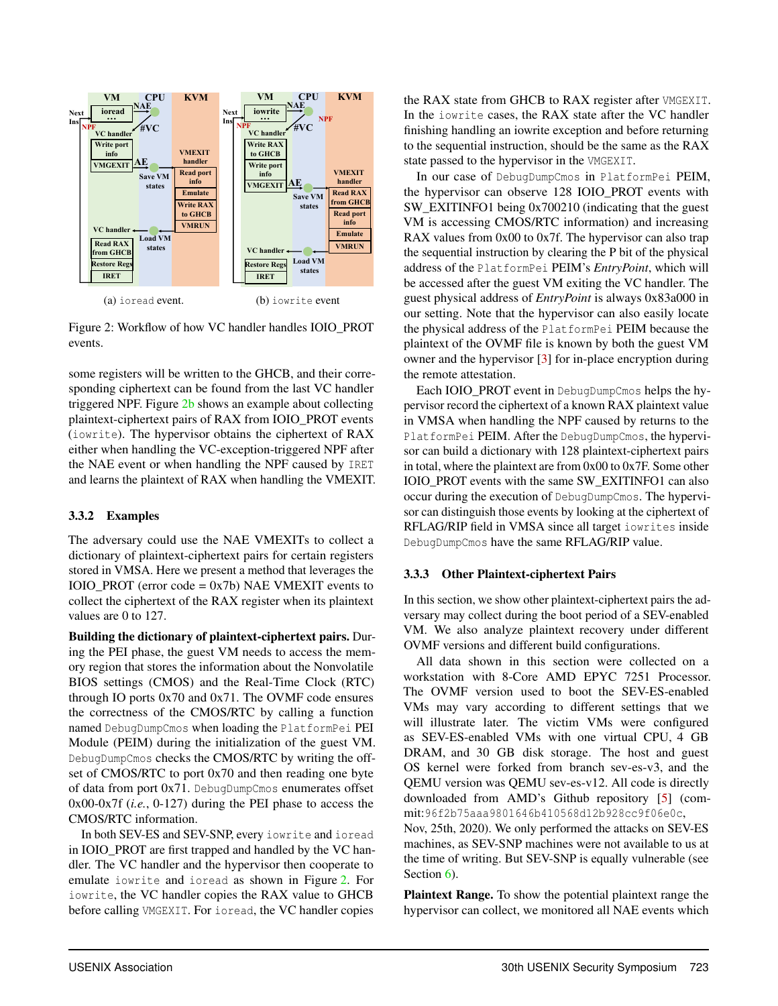

Figure 2: Workflow of how VC handler handles IOIO\_PROT events.

some registers will be written to the GHCB, and their corresponding ciphertext can be found from the last VC handler triggered NPF. Figure 2b shows an example about collecting plaintext-ciphertext pairs of RAX from IOIO\_PROT events (iowrite). The hypervisor obtains the ciphertext of RAX either when handling the VC-exception-triggered NPF after the NAE event or when handling the NPF caused by IRET and learns the plaintext of RAX when handling the VMEXIT.

### 3.3.2 Examples

The adversary could use the NAE VMEXITs to collect a dictionary of plaintext-ciphertext pairs for certain registers stored in VMSA. Here we present a method that leverages the IOIO\_PROT (error code = 0x7b) NAE VMEXIT events to collect the ciphertext of the RAX register when its plaintext values are 0 to 127.

Building the dictionary of plaintext-ciphertext pairs. During the PEI phase, the guest VM needs to access the memory region that stores the information about the Nonvolatile BIOS settings (CMOS) and the Real-Time Clock (RTC) through IO ports 0x70 and 0x71. The OVMF code ensures the correctness of the CMOS/RTC by calling a function named DebugDumpCmos when loading the PlatformPei PEI Module (PEIM) during the initialization of the guest VM. DebugDumpCmos checks the CMOS/RTC by writing the offset of CMOS/RTC to port 0x70 and then reading one byte of data from port 0x71. DebugDumpCmos enumerates offset 0x00-0x7f (*i.e.*, 0-127) during the PEI phase to access the CMOS/RTC information.

In both SEV-ES and SEV-SNP, every iowrite and ioread in IOIO\_PROT are first trapped and handled by the VC handler. The VC handler and the hypervisor then cooperate to emulate iowrite and ioread as shown in Figure 2. For iowrite, the VC handler copies the RAX value to GHCB before calling VMGEXIT. For ioread, the VC handler copies

the RAX state from GHCB to RAX register after VMGEXIT. In the iowrite cases, the RAX state after the VC handler finishing handling an iowrite exception and before returning to the sequential instruction, should be the same as the RAX state passed to the hypervisor in the VMGEXIT.

In our case of DebugDumpCmos in PlatformPei PEIM, the hypervisor can observe 128 IOIO\_PROT events with SW\_EXITINFO1 being 0x700210 (indicating that the guest VM is accessing CMOS/RTC information) and increasing RAX values from 0x00 to 0x7f. The hypervisor can also trap the sequential instruction by clearing the P bit of the physical address of the PlatformPei PEIM's *EntryPoint*, which will be accessed after the guest VM exiting the VC handler. The guest physical address of *EntryPoint* is always 0x83a000 in our setting. Note that the hypervisor can also easily locate the physical address of the PlatformPei PEIM because the plaintext of the OVMF file is known by both the guest VM owner and the hypervisor [3] for in-place encryption during the remote attestation.

Each IOIO\_PROT event in DebugDumpCmos helps the hypervisor record the ciphertext of a known RAX plaintext value in VMSA when handling the NPF caused by returns to the PlatformPei PEIM. After the DebugDumpCmos, the hypervisor can build a dictionary with 128 plaintext-ciphertext pairs in total, where the plaintext are from 0x00 to 0x7F. Some other IOIO\_PROT events with the same SW\_EXITINFO1 can also occur during the execution of DebugDumpCmos. The hypervisor can distinguish those events by looking at the ciphertext of RFLAG/RIP field in VMSA since all target iowrites inside DebugDumpCmos have the same RFLAG/RIP value.

# 3.3.3 Other Plaintext-ciphertext Pairs

In this section, we show other plaintext-ciphertext pairs the adversary may collect during the boot period of a SEV-enabled VM. We also analyze plaintext recovery under different OVMF versions and different build configurations.

All data shown in this section were collected on a workstation with 8-Core AMD EPYC 7251 Processor. The OVMF version used to boot the SEV-ES-enabled VMs may vary according to different settings that we will illustrate later. The victim VMs were configured as SEV-ES-enabled VMs with one virtual CPU, 4 GB DRAM, and 30 GB disk storage. The host and guest OS kernel were forked from branch sev-es-v3, and the QEMU version was QEMU sev-es-v12. All code is directly downloaded from AMD's Github repository [5] (commit:96f2b75aaa9801646b410568d12b928cc9f06e0c,

Nov, 25th, 2020). We only performed the attacks on SEV-ES machines, as SEV-SNP machines were not available to us at the time of writing. But SEV-SNP is equally vulnerable (see Section 6).

Plaintext Range. To show the potential plaintext range the hypervisor can collect, we monitored all NAE events which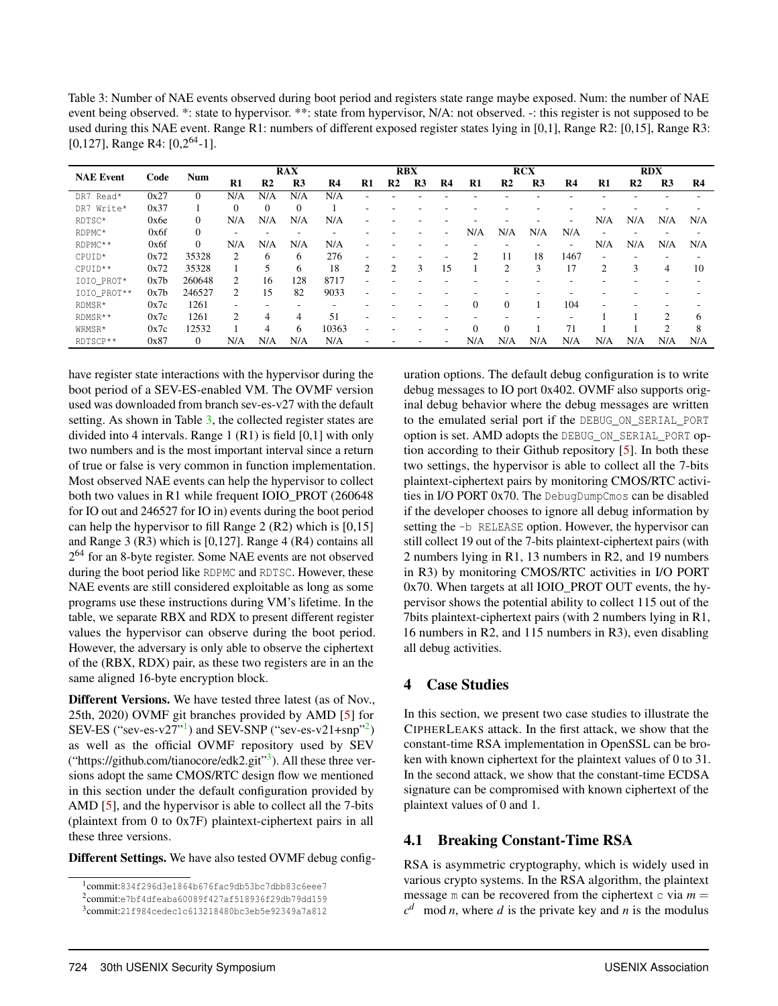Table 3: Number of NAE events observed during boot period and registers state range maybe exposed. Num: the number of NAE event being observed. \*: state to hypervisor. \*\*: state from hypervisor, N/A: not observed. -: this register is not supposed to be used during this NAE event. Range R1: numbers of different exposed register states lying in [0,1], Range R2: [0,15], Range R3: [0,127], Range R4:  $[0,2^{64}-1]$ .

|                  |      |            | <b>RAX</b>     |                |                | <b>RBX</b>     |                |                | <b>RCX</b>     |    |               |                | <b>RDX</b>     |                          |               |                |                |     |
|------------------|------|------------|----------------|----------------|----------------|----------------|----------------|----------------|----------------|----|---------------|----------------|----------------|--------------------------|---------------|----------------|----------------|-----|
| <b>NAE Event</b> | Code | <b>Num</b> | $\mathbf{R}1$  | R <sub>2</sub> | R <sub>3</sub> | R <sub>4</sub> | R1             | R <sub>2</sub> | R <sub>3</sub> | R4 | $\mathbf{R}1$ | R <sub>2</sub> | R <sub>3</sub> | R4                       | $\mathbf{R}1$ | R <sub>2</sub> | R <sub>3</sub> | R4  |
| DR7 Read*        | 0x27 | $\Omega$   | N/A            | N/A            | N/A            | N/A            |                |                |                |    |               |                |                |                          |               |                |                |     |
| DR7 Write*       | 0x37 |            | $\Omega$       |                | $\Omega$       |                | ۰              |                |                |    |               |                |                |                          |               |                |                |     |
| RDTSC*           | 0x6e | $\Omega$   | N/A            | N/A            | N/A            | N/A            |                |                |                |    |               |                |                | $\overline{\phantom{0}}$ | N/A           | N/A            | N/A            | N/A |
| RDPMC*           | 0x6f | $\Omega$   |                |                |                |                |                |                |                | ۰  | N/A           | N/A            | N/A            | N/A                      |               |                |                |     |
| RDPMC**          | 0x6f | $\Omega$   | N/A            | N/A            | N/A            | N/A            |                |                |                |    |               |                |                | $\overline{\phantom{0}}$ | N/A           | N/A            | N/A            | N/A |
| CPUID*           | 0x72 | 35328      | $\mathfrak{D}$ | 6              | 6              | 276            | ۰              |                |                |    |               | 11             | 18             | 1467                     |               |                |                |     |
| CPUID **         | 0x72 | 35328      |                | 5              | 6              | 18             | $\overline{2}$ | 2              | 3              | 15 |               | 2              | 3              | 17                       | 2             | 3              | 4              | 10  |
| IOIO PROT*       | 0x7b | 260648     | $\mathcal{L}$  | 16             | 128            | 8717           | ۰              |                |                |    |               |                |                |                          |               |                |                |     |
| IOIO_PROT**      | 0x7b | 246527     | $\mathcal{L}$  | 15             | 82             | 9033           | ۰              |                |                |    |               |                |                |                          |               |                |                |     |
| RDMSR*           | 0x7c | 1261       |                |                | -              |                |                |                |                |    | $\Omega$      | $\Omega$       |                | 104                      |               |                |                |     |
| RDMSR**          | 0x7c | 1261       | $\mathfrak{D}$ | 4              | 4              | 51             | ۰              |                |                |    |               |                |                |                          |               |                | ◠              | h.  |
| WRMSR*           | 0x7c | 12532      |                | 4              | 6              | 10363          |                |                |                |    |               | $\Omega$       |                | 71                       |               |                |                | 8   |
| RDTSCP **        | 0x87 | $\Omega$   | N/A            | N/A            | N/A            | N/A            |                |                |                |    | N/A           | N/A            | N/A            | N/A                      | N/A           | N/A            | N/A            | N/A |

have register state interactions with the hypervisor during the boot period of a SEV-ES-enabled VM. The OVMF version used was downloaded from branch sev-es-v27 with the default setting. As shown in Table 3, the collected register states are divided into 4 intervals. Range 1 (R1) is field [0,1] with only two numbers and is the most important interval since a return of true or false is very common in function implementation. Most observed NAE events can help the hypervisor to collect both two values in R1 while frequent IOIO\_PROT (260648 for IO out and 246527 for IO in) events during the boot period can help the hypervisor to fill Range 2 (R2) which is [0,15] and Range 3 (R3) which is [0,127]. Range 4 (R4) contains all 2<sup>64</sup> for an 8-byte register. Some NAE events are not observed during the boot period like RDPMC and RDTSC. However, these NAE events are still considered exploitable as long as some programs use these instructions during VM's lifetime. In the table, we separate RBX and RDX to present different register values the hypervisor can observe during the boot period. However, the adversary is only able to observe the ciphertext of the (RBX, RDX) pair, as these two registers are in an the same aligned 16-byte encryption block.

Different Versions. We have tested three latest (as of Nov., 25th, 2020) OVMF git branches provided by AMD [5] for SEV-ES ("sev-es-v27"<sup>1</sup>) and SEV-SNP ("sev-es-v21+snp"<sup>2</sup>) as well as the official OVMF repository used by SEV ("https://github.com/tianocore/edk2.git"<sup>3</sup>). All these three versions adopt the same CMOS/RTC design flow we mentioned in this section under the default configuration provided by AMD [5], and the hypervisor is able to collect all the 7-bits (plaintext from 0 to 0x7F) plaintext-ciphertext pairs in all these three versions.

Different Settings. We have also tested OVMF debug config-

uration options. The default debug configuration is to write debug messages to IO port 0x402. OVMF also supports original debug behavior where the debug messages are written to the emulated serial port if the DEBUG\_ON\_SERIAL\_PORT option is set. AMD adopts the DEBUG\_ON\_SERIAL\_PORT option according to their Github repository [5]. In both these two settings, the hypervisor is able to collect all the 7-bits plaintext-ciphertext pairs by monitoring CMOS/RTC activities in I/O PORT 0x70. The DebugDumpCmos can be disabled if the developer chooses to ignore all debug information by setting the -b RELEASE option. However, the hypervisor can still collect 19 out of the 7-bits plaintext-ciphertext pairs (with 2 numbers lying in R1, 13 numbers in R2, and 19 numbers in R3) by monitoring CMOS/RTC activities in I/O PORT 0x70. When targets at all IOIO\_PROT OUT events, the hypervisor shows the potential ability to collect 115 out of the 7bits plaintext-ciphertext pairs (with 2 numbers lying in R1, 16 numbers in R2, and 115 numbers in R3), even disabling all debug activities.

# 4 Case Studies

In this section, we present two case studies to illustrate the CIPHERLEAKS attack. In the first attack, we show that the constant-time RSA implementation in OpenSSL can be broken with known ciphertext for the plaintext values of 0 to 31. In the second attack, we show that the constant-time ECDSA signature can be compromised with known ciphertext of the plaintext values of 0 and 1.

# 4.1 Breaking Constant-Time RSA

RSA is asymmetric cryptography, which is widely used in various crypto systems. In the RSA algorithm, the plaintext message m can be recovered from the ciphertext  $\circ$  via  $m =$  $c<sup>d</sup>$  mod *n*, where *d* is the private key and *n* is the modulus

<sup>1</sup> commit:834f296d3e1864b676fac9db53bc7dbb83c6eee7

<sup>2</sup> commit:e7bf4dfeaba60089f427af518936f29db79dd159

<sup>3</sup> commit:21f984cedec1c613218480bc3eb5e92349a7a812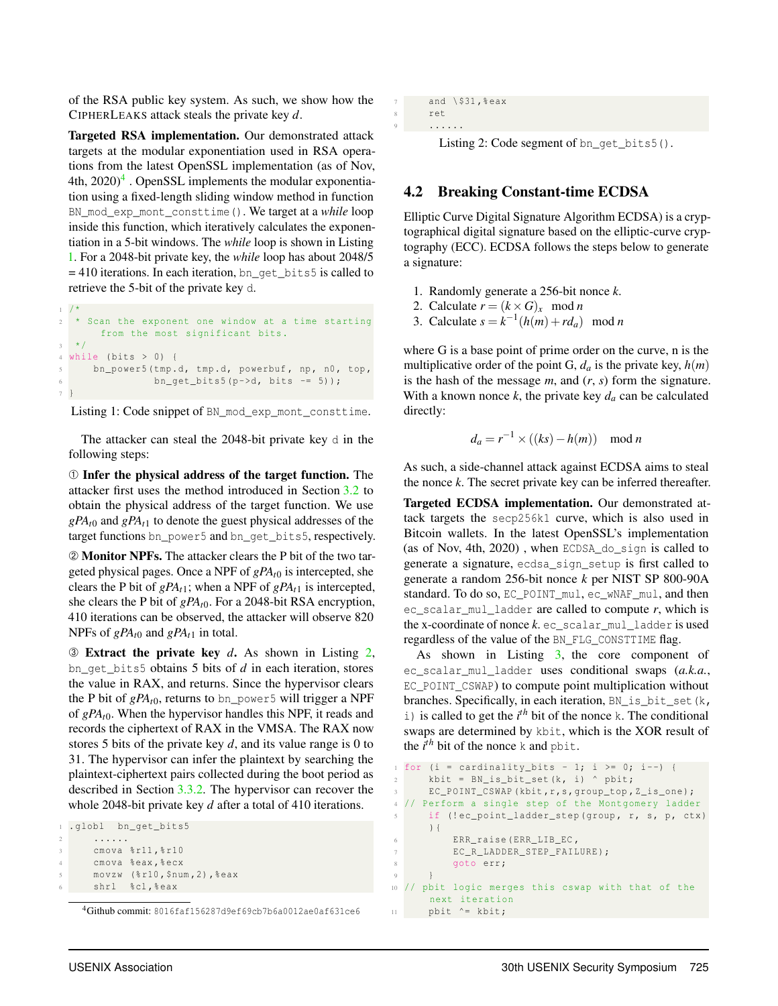of the RSA public key system. As such, we show how the CIPHERLEAKS attack steals the private key *d*.

Targeted RSA implementation. Our demonstrated attack targets at the modular exponentiation used in RSA operations from the latest OpenSSL implementation (as of Nov, 4th,  $2020)^4$  . OpenSSL implements the modular exponentiation using a fixed-length sliding window method in function BN\_mod\_exp\_mont\_consttime(). We target at a *while* loop inside this function, which iteratively calculates the exponentiation in a 5-bit windows. The *while* loop is shown in Listing 1. For a 2048-bit private key, the *while* loop has about 2048/5 = 410 iterations. In each iteration, bn\_get\_bits5 is called to retrieve the 5-bit of the private key d.

```
1 /*
  * Scan the exponent one window at a time starting
      from the most significant bits.
  \star /
4 while (bits > 0) {
5 bn_power5 (tmp.d, tmp.d, powerbuf, np, n0, top,
6 bn_get_bits5 (p->d, bits -= 5));
\tau
```
Listing 1: Code snippet of BN\_mod\_exp\_mont\_consttime.

The attacker can steal the 2048-bit private key d in the following steps:

➀ Infer the physical address of the target function. The attacker first uses the method introduced in Section 3.2 to obtain the physical address of the target function. We use  $gPA_{t0}$  and  $gPA_{t1}$  to denote the guest physical addresses of the target functions bn\_power5 and bn\_qet\_bits5, respectively.

➁ Monitor NPFs. The attacker clears the P bit of the two targeted physical pages. Once a NPF of *gPAt*<sup>0</sup> is intercepted, she clears the P bit of  $gPA_{t1}$ ; when a NPF of  $gPA_{t1}$  is intercepted, she clears the P bit of *gPAt*0. For a 2048-bit RSA encryption, 410 iterations can be observed, the attacker will observe 820 NPFs of  $gPA_{t0}$  and  $gPA_{t1}$  in total.

➂ Extract the private key *d*. As shown in Listing 2, bn\_get\_bits5 obtains 5 bits of *d* in each iteration, stores the value in RAX, and returns. Since the hypervisor clears the P bit of  $gPA_{t0}$ , returns to bn\_power5 will trigger a NPF of *gPAt*0. When the hypervisor handles this NPF, it reads and records the ciphertext of RAX in the VMSA. The RAX now stores 5 bits of the private key *d*, and its value range is 0 to 31. The hypervisor can infer the plaintext by searching the plaintext-ciphertext pairs collected during the boot period as described in Section 3.3.2. The hypervisor can recover the whole 2048-bit private key *d* after a total of 410 iterations.

```
1.globl bn_get_bits5
      2 ......
      cmova %r11, % r10
      cmova %eax, % ecx
      5 movzw (% r10 , $num ,2) ,% eax
      shrl %cl, % eax
```
<sup>4</sup>Github commit: 8016faf156287d9ef69cb7b6a0012ae0af631ce6

```
7 and \frac{1531 \text{ years}}{201}8 ret
<sup>9</sup> ......
```
Listing 2: Code segment of bn\_get\_bits5().

# 4.2 Breaking Constant-time ECDSA

Elliptic Curve Digital Signature Algorithm ECDSA) is a cryptographical digital signature based on the elliptic-curve cryptography (ECC). ECDSA follows the steps below to generate a signature:

- 1. Randomly generate a 256-bit nonce *k*.
- 2. Calculate  $r = (k \times G)_x$  mod *n*
- 3. Calculate  $s = k^{-1}(h(m) + rd_a) \mod n$

where G is a base point of prime order on the curve, n is the multiplicative order of the point G,  $d_a$  is the private key,  $h(m)$ is the hash of the message *m*, and (*r*, *s*) form the signature. With a known nonce  $k$ , the private key  $d_a$  can be calculated directly:

$$
d_a = r^{-1} \times ((ks) - h(m)) \mod n
$$

As such, a side-channel attack against ECDSA aims to steal the nonce *k*. The secret private key can be inferred thereafter.

Targeted ECDSA implementation. Our demonstrated attack targets the secp256k1 curve, which is also used in Bitcoin wallets. In the latest OpenSSL's implementation (as of Nov, 4th, 2020) , when ECDSA\_do\_sign is called to generate a signature, ecdsa\_sign\_setup is first called to generate a random 256-bit nonce *k* per NIST SP 800-90A standard. To do so, EC\_POINT\_mul, ec\_wNAF\_mul, and then ec scalar mul ladder are called to compute  $r$ , which is the x-coordinate of nonce  $k$ . ec\_scalar\_mul\_ladder is used regardless of the value of the BN\_FLG\_CONSTTIME flag.

As shown in Listing 3, the core component of ec\_scalar\_mul\_ladder uses conditional swaps (*a.k.a.*, EC\_POINT\_CSWAP) to compute point multiplication without branches. Specifically, in each iteration, BN\_is\_bit\_set(k,  $i)$  is called to get the  $i<sup>th</sup>$  bit of the nonce k. The conditional swaps are determined by kbit, which is the XOR result of the  $i^{th}$  bit of the nonce k and  $\text{phi}.$ 

```
for (i = cardinality_bits - 1; i >= 0; i--) {
2 kbit = BN_is_bit_set (k, i) ^ pbit;
3 EC_POINT_CSWAP ( kbit ,r ,s , group_top , Z_is_one );
4 // Perform a single step of the Montgomery ladder
     if (!ec_point_ladder_step ( group, r, s, p, ctx)
     ){
         ERR_raise (ERR_LIB_EC,
7 EC_R_LADDER_STEP_FAILURE);
8 goto err;
9 }
10 // pbit logic merges this cswap with that of the
     next iteration
    pbit ^= kbit;
```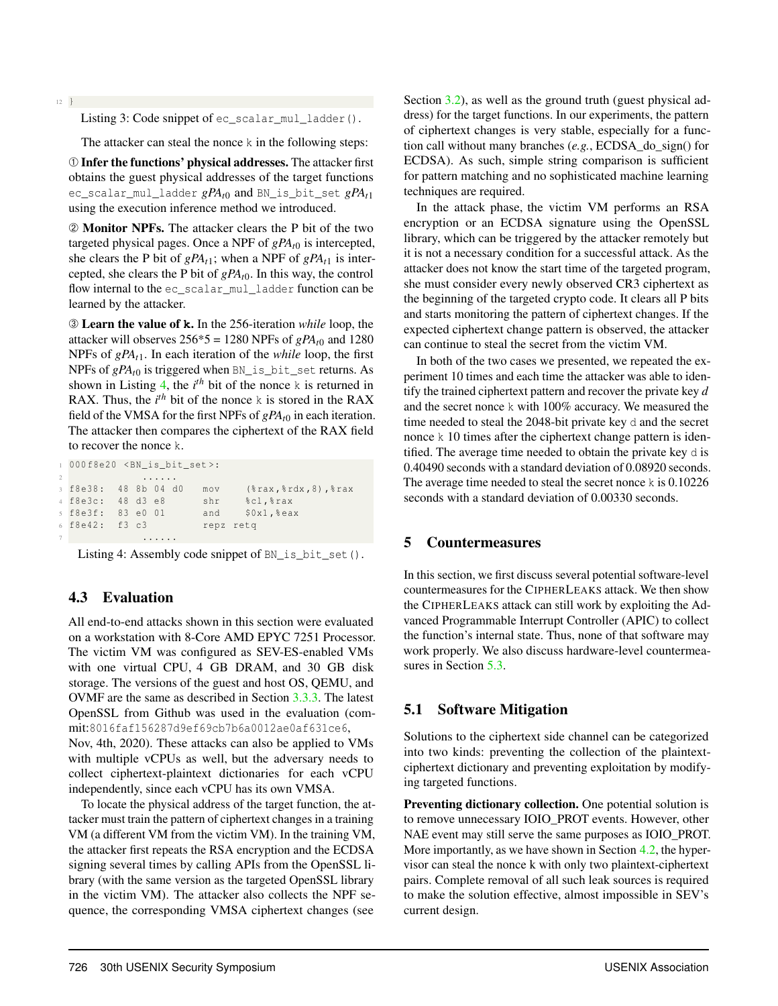<sup>12</sup> }

Listing 3: Code snippet of ec\_scalar\_mul\_ladder().

The attacker can steal the nonce k in the following steps:

➀ Infer the functions' physical addresses. The attacker first obtains the guest physical addresses of the target functions ec\_scalar\_mul\_ladder *gPAt*<sup>0</sup> and BN\_is\_bit\_set *gPAt*<sup>1</sup> using the execution inference method we introduced.

➁ Monitor NPFs. The attacker clears the P bit of the two targeted physical pages. Once a NPF of *gPAt*<sup>0</sup> is intercepted, she clears the P bit of  $gPA_{t1}$ ; when a NPF of  $gPA_{t1}$  is intercepted, she clears the P bit of *gPAt*0. In this way, the control flow internal to the ec\_scalar\_mul\_ladder function can be learned by the attacker.

➂ Learn the value of **k**. In the 256-iteration *while* loop, the attacker will observes  $256*5 = 1280$  NPFs of  $gPA<sub>t0</sub>$  and 1280 NPFs of *gPAt*1. In each iteration of the *while* loop, the first NPFs of *gPAt*<sup>0</sup> is triggered when BN\_is\_bit\_set returns. As shown in Listing 4, the  $i<sup>th</sup>$  bit of the nonce k is returned in RAX. Thus, the  $i^{th}$  bit of the nonce k is stored in the RAX field of the VMSA for the first NPFs of *gPAt*<sup>0</sup> in each iteration. The attacker then compares the ciphertext of the RAX field to recover the nonce k.

```
000 f8e20 < BN_is_bit_set >:
2 ......
3 f8e38 : 48 8b 04 d0 mov (% rax ,% rdx ,8) ,% rax
4 f8e3c : 48 d3 e8 shr %cl ,% rax
5 f8e3f : 83 e0 01 and $0x1 ,% eax
6 f8e42 : f3 c3 repz retq
            7 ......
```
Listing 4: Assembly code snippet of BN\_is\_bit\_set().

### 4.3 Evaluation

All end-to-end attacks shown in this section were evaluated on a workstation with 8-Core AMD EPYC 7251 Processor. The victim VM was configured as SEV-ES-enabled VMs with one virtual CPU, 4 GB DRAM, and 30 GB disk storage. The versions of the guest and host OS, QEMU, and OVMF are the same as described in Section 3.3.3. The latest OpenSSL from Github was used in the evaluation (commit:8016faf156287d9ef69cb7b6a0012ae0af631ce6, Nov, 4th, 2020). These attacks can also be applied to VMs with multiple vCPUs as well, but the adversary needs to collect ciphertext-plaintext dictionaries for each vCPU independently, since each vCPU has its own VMSA.

To locate the physical address of the target function, the attacker must train the pattern of ciphertext changes in a training VM (a different VM from the victim VM). In the training VM, the attacker first repeats the RSA encryption and the ECDSA signing several times by calling APIs from the OpenSSL library (with the same version as the targeted OpenSSL library in the victim VM). The attacker also collects the NPF sequence, the corresponding VMSA ciphertext changes (see

Section 3.2), as well as the ground truth (guest physical address) for the target functions. In our experiments, the pattern of ciphertext changes is very stable, especially for a function call without many branches (*e.g.*, ECDSA\_do\_sign() for ECDSA). As such, simple string comparison is sufficient for pattern matching and no sophisticated machine learning techniques are required.

In the attack phase, the victim VM performs an RSA encryption or an ECDSA signature using the OpenSSL library, which can be triggered by the attacker remotely but it is not a necessary condition for a successful attack. As the attacker does not know the start time of the targeted program, she must consider every newly observed CR3 ciphertext as the beginning of the targeted crypto code. It clears all P bits and starts monitoring the pattern of ciphertext changes. If the expected ciphertext change pattern is observed, the attacker can continue to steal the secret from the victim VM.

In both of the two cases we presented, we repeated the experiment 10 times and each time the attacker was able to identify the trained ciphertext pattern and recover the private key *d* and the secret nonce k with 100% accuracy. We measured the time needed to steal the 2048-bit private key d and the secret nonce k 10 times after the ciphertext change pattern is identified. The average time needed to obtain the private key d is 0.40490 seconds with a standard deviation of 0.08920 seconds. The average time needed to steal the secret nonce k is  $0.10226$ seconds with a standard deviation of 0.00330 seconds.

### 5 Countermeasures

In this section, we first discuss several potential software-level countermeasures for the CIPHERLEAKS attack. We then show the CIPHERLEAKS attack can still work by exploiting the Advanced Programmable Interrupt Controller (APIC) to collect the function's internal state. Thus, none of that software may work properly. We also discuss hardware-level countermeasures in Section 5.3.

### 5.1 Software Mitigation

Solutions to the ciphertext side channel can be categorized into two kinds: preventing the collection of the plaintextciphertext dictionary and preventing exploitation by modifying targeted functions.

Preventing dictionary collection. One potential solution is to remove unnecessary IOIO\_PROT events. However, other NAE event may still serve the same purposes as IOIO PROT. More importantly, as we have shown in Section 4.2, the hypervisor can steal the nonce k with only two plaintext-ciphertext pairs. Complete removal of all such leak sources is required to make the solution effective, almost impossible in SEV's current design.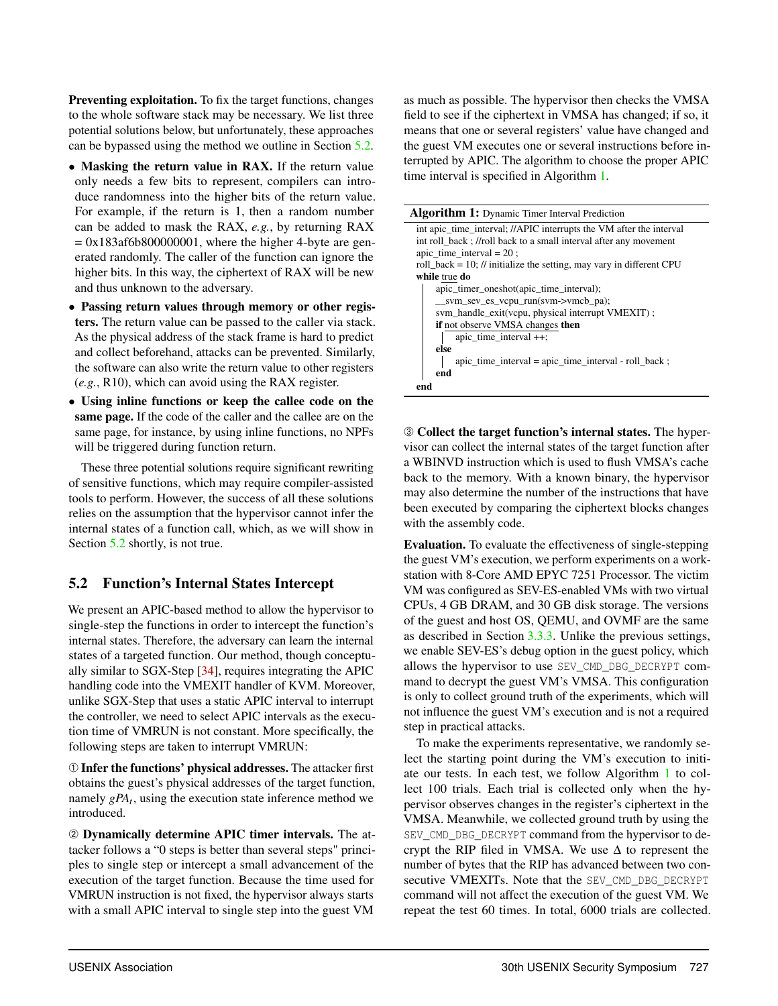Preventing exploitation. To fix the target functions, changes to the whole software stack may be necessary. We list three potential solutions below, but unfortunately, these approaches can be bypassed using the method we outline in Section 5.2.

- Masking the return value in RAX. If the return value only needs a few bits to represent, compilers can introduce randomness into the higher bits of the return value. For example, if the return is 1, then a random number can be added to mask the RAX, *e.g.*, by returning RAX  $= 0x183a f6b800000001$ , where the higher 4-byte are generated randomly. The caller of the function can ignore the higher bits. In this way, the ciphertext of RAX will be new and thus unknown to the adversary.
- Passing return values through memory or other registers. The return value can be passed to the caller via stack. As the physical address of the stack frame is hard to predict and collect beforehand, attacks can be prevented. Similarly, the software can also write the return value to other registers (*e.g.*, R10), which can avoid using the RAX register.
- Using inline functions or keep the callee code on the same page. If the code of the caller and the callee are on the same page, for instance, by using inline functions, no NPFs will be triggered during function return.

These three potential solutions require significant rewriting of sensitive functions, which may require compiler-assisted tools to perform. However, the success of all these solutions relies on the assumption that the hypervisor cannot infer the internal states of a function call, which, as we will show in Section 5.2 shortly, is not true.

# 5.2 Function's Internal States Intercept

We present an APIC-based method to allow the hypervisor to single-step the functions in order to intercept the function's internal states. Therefore, the adversary can learn the internal states of a targeted function. Our method, though conceptually similar to SGX-Step [34], requires integrating the APIC handling code into the VMEXIT handler of KVM. Moreover, unlike SGX-Step that uses a static APIC interval to interrupt the controller, we need to select APIC intervals as the execution time of VMRUN is not constant. More specifically, the following steps are taken to interrupt VMRUN:

➀ Infer the functions' physical addresses. The attacker first obtains the guest's physical addresses of the target function, namely *gPA<sup>t</sup>* , using the execution state inference method we introduced.

➁ Dynamically determine APIC timer intervals. The attacker follows a "0 steps is better than several steps" principles to single step or intercept a small advancement of the execution of the target function. Because the time used for VMRUN instruction is not fixed, the hypervisor always starts with a small APIC interval to single step into the guest VM

as much as possible. The hypervisor then checks the VMSA field to see if the ciphertext in VMSA has changed; if so, it means that one or several registers' value have changed and the guest VM executes one or several instructions before interrupted by APIC. The algorithm to choose the proper APIC time interval is specified in Algorithm 1.

Algorithm 1: Dynamic Timer Interval Prediction

| int apic_time_interval; //APIC interrupts the VM after the interval     |
|-------------------------------------------------------------------------|
| int roll back; //roll back to a small interval after any movement       |
| apic time interval = $20$ ;                                             |
| roll_back = $10$ ; // initialize the setting, may vary in different CPU |
| while true do                                                           |
| apic_timer_oneshot(apic_time_interval);                                 |
| $\_sym\_sev\_es\_vcpu\_run(svm->vmcb\_pa);$                             |
| svm_handle_exit(vcpu, physical interrupt VMEXIT);                       |
| <b>if</b> not observe VMSA changes <b>then</b>                          |
| apic_time_interval $++$ ;                                               |
| else                                                                    |
| $apic_time_interval = apic_time_interval - roll_back;$                  |
| end                                                                     |
| end                                                                     |
|                                                                         |

➂ Collect the target function's internal states. The hypervisor can collect the internal states of the target function after a WBINVD instruction which is used to flush VMSA's cache back to the memory. With a known binary, the hypervisor may also determine the number of the instructions that have been executed by comparing the ciphertext blocks changes with the assembly code.

Evaluation. To evaluate the effectiveness of single-stepping the guest VM's execution, we perform experiments on a workstation with 8-Core AMD EPYC 7251 Processor. The victim VM was configured as SEV-ES-enabled VMs with two virtual CPUs, 4 GB DRAM, and 30 GB disk storage. The versions of the guest and host OS, QEMU, and OVMF are the same as described in Section 3.3.3. Unlike the previous settings, we enable SEV-ES's debug option in the guest policy, which allows the hypervisor to use SEV\_CMD\_DBG\_DECRYPT command to decrypt the guest VM's VMSA. This configuration is only to collect ground truth of the experiments, which will not influence the guest VM's execution and is not a required step in practical attacks.

To make the experiments representative, we randomly select the starting point during the VM's execution to initiate our tests. In each test, we follow Algorithm 1 to collect 100 trials. Each trial is collected only when the hypervisor observes changes in the register's ciphertext in the VMSA. Meanwhile, we collected ground truth by using the SEV CMD DBG DECRYPT command from the hypervisor to decrypt the RIP filed in VMSA. We use  $\Delta$  to represent the number of bytes that the RIP has advanced between two consecutive VMEXITs. Note that the SEV\_CMD\_DBG\_DECRYPT command will not affect the execution of the guest VM. We repeat the test 60 times. In total, 6000 trials are collected.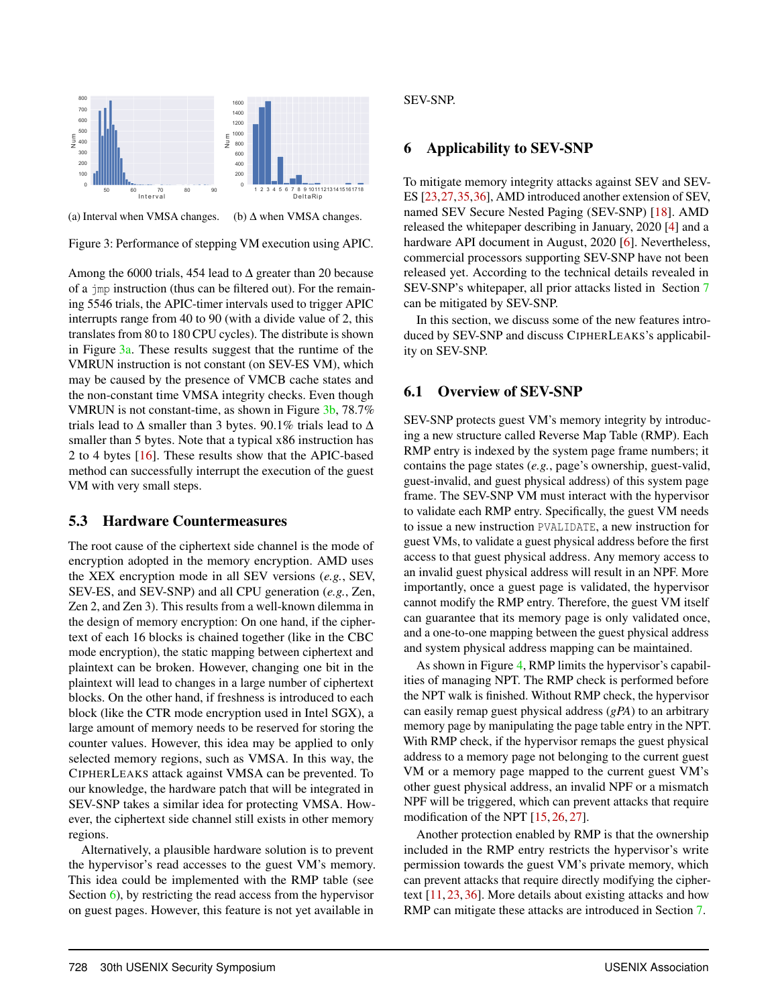

(a) Interval when VMSA changes. (b)  $\Delta$  when VMSA changes.



Among the 6000 trials, 454 lead to  $\Delta$  greater than 20 because of a jmp instruction (thus can be filtered out). For the remaining 5546 trials, the APIC-timer intervals used to trigger APIC interrupts range from 40 to 90 (with a divide value of 2, this translates from 80 to 180 CPU cycles). The distribute is shown in Figure 3a. These results suggest that the runtime of the VMRUN instruction is not constant (on SEV-ES VM), which may be caused by the presence of VMCB cache states and the non-constant time VMSA integrity checks. Even though VMRUN is not constant-time, as shown in Figure 3b, 78.7% trials lead to  $\Delta$  smaller than 3 bytes. 90.1% trials lead to  $\Delta$ smaller than 5 bytes. Note that a typical x86 instruction has 2 to 4 bytes [16]. These results show that the APIC-based method can successfully interrupt the execution of the guest VM with very small steps.

### 5.3 Hardware Countermeasures

The root cause of the ciphertext side channel is the mode of encryption adopted in the memory encryption. AMD uses the XEX encryption mode in all SEV versions (*e.g.*, SEV, SEV-ES, and SEV-SNP) and all CPU generation (*e.g.*, Zen, Zen 2, and Zen 3). This results from a well-known dilemma in the design of memory encryption: On one hand, if the ciphertext of each 16 blocks is chained together (like in the CBC mode encryption), the static mapping between ciphertext and plaintext can be broken. However, changing one bit in the plaintext will lead to changes in a large number of ciphertext blocks. On the other hand, if freshness is introduced to each block (like the CTR mode encryption used in Intel SGX), a large amount of memory needs to be reserved for storing the counter values. However, this idea may be applied to only selected memory regions, such as VMSA. In this way, the CIPHERLEAKS attack against VMSA can be prevented. To our knowledge, the hardware patch that will be integrated in SEV-SNP takes a similar idea for protecting VMSA. However, the ciphertext side channel still exists in other memory regions.

Alternatively, a plausible hardware solution is to prevent the hypervisor's read accesses to the guest VM's memory. This idea could be implemented with the RMP table (see Section 6), by restricting the read access from the hypervisor on guest pages. However, this feature is not yet available in

#### SEV-SNP.

### 6 Applicability to SEV-SNP

To mitigate memory integrity attacks against SEV and SEV-ES [23,27,35,36], AMD introduced another extension of SEV, named SEV Secure Nested Paging (SEV-SNP) [18]. AMD released the whitepaper describing in January, 2020 [4] and a hardware API document in August, 2020 [6]. Nevertheless, commercial processors supporting SEV-SNP have not been released yet. According to the technical details revealed in SEV-SNP's whitepaper, all prior attacks listed in Section 7 can be mitigated by SEV-SNP.

In this section, we discuss some of the new features introduced by SEV-SNP and discuss CIPHERLEAKS's applicability on SEV-SNP.

# 6.1 Overview of SEV-SNP

SEV-SNP protects guest VM's memory integrity by introducing a new structure called Reverse Map Table (RMP). Each RMP entry is indexed by the system page frame numbers; it contains the page states (*e.g.*, page's ownership, guest-valid, guest-invalid, and guest physical address) of this system page frame. The SEV-SNP VM must interact with the hypervisor to validate each RMP entry. Specifically, the guest VM needs to issue a new instruction PVALIDATE, a new instruction for guest VMs, to validate a guest physical address before the first access to that guest physical address. Any memory access to an invalid guest physical address will result in an NPF. More importantly, once a guest page is validated, the hypervisor cannot modify the RMP entry. Therefore, the guest VM itself can guarantee that its memory page is only validated once, and a one-to-one mapping between the guest physical address and system physical address mapping can be maintained.

As shown in Figure 4, RMP limits the hypervisor's capabilities of managing NPT. The RMP check is performed before the NPT walk is finished. Without RMP check, the hypervisor can easily remap guest physical address (*gPA*) to an arbitrary memory page by manipulating the page table entry in the NPT. With RMP check, if the hypervisor remaps the guest physical address to a memory page not belonging to the current guest VM or a memory page mapped to the current guest VM's other guest physical address, an invalid NPF or a mismatch NPF will be triggered, which can prevent attacks that require modification of the NPT [15, 26, 27].

Another protection enabled by RMP is that the ownership included in the RMP entry restricts the hypervisor's write permission towards the guest VM's private memory, which can prevent attacks that require directly modifying the ciphertext [11, 23, 36]. More details about existing attacks and how RMP can mitigate these attacks are introduced in Section 7.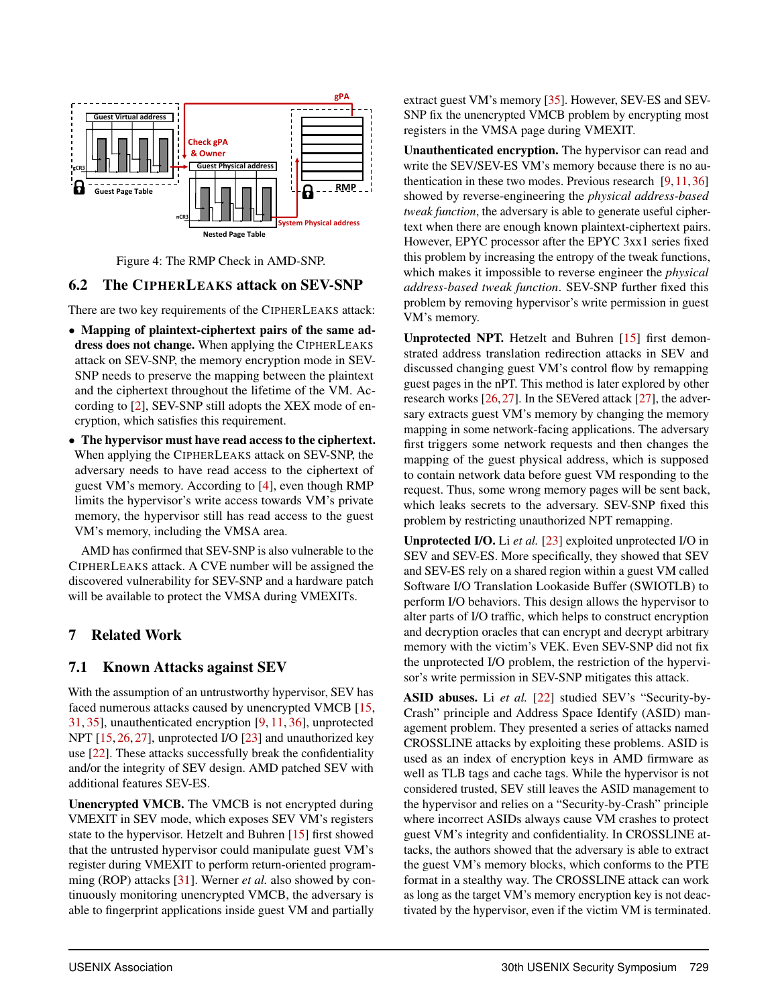

#### Figure 4: The RMP Check in AMD-SNP.

### 6.2 The CIPHERLEAKS attack on SEV-SNP

There are two key requirements of the CIPHERLEAKS attack:

- Mapping of plaintext-ciphertext pairs of the same address does not change. When applying the CIPHERLEAKS attack on SEV-SNP, the memory encryption mode in SEV-SNP needs to preserve the mapping between the plaintext and the ciphertext throughout the lifetime of the VM. According to [2], SEV-SNP still adopts the XEX mode of encryption, which satisfies this requirement.
- The hypervisor must have read access to the ciphertext. When applying the CIPHERLEAKS attack on SEV-SNP, the adversary needs to have read access to the ciphertext of guest VM's memory. According to [4], even though RMP limits the hypervisor's write access towards VM's private memory, the hypervisor still has read access to the guest VM's memory, including the VMSA area.

AMD has confirmed that SEV-SNP is also vulnerable to the CIPHERLEAKS attack. A CVE number will be assigned the discovered vulnerability for SEV-SNP and a hardware patch will be available to protect the VMSA during VMEXITs.

### 7 Related Work

### 7.1 Known Attacks against SEV

With the assumption of an untrustworthy hypervisor, SEV has faced numerous attacks caused by unencrypted VMCB [15, 31, 35], unauthenticated encryption [9, 11, 36], unprotected NPT [15, 26, 27], unprotected I/O [23] and unauthorized key use [22]. These attacks successfully break the confidentiality and/or the integrity of SEV design. AMD patched SEV with additional features SEV-ES.

Unencrypted VMCB. The VMCB is not encrypted during VMEXIT in SEV mode, which exposes SEV VM's registers state to the hypervisor. Hetzelt and Buhren [15] first showed that the untrusted hypervisor could manipulate guest VM's register during VMEXIT to perform return-oriented programming (ROP) attacks [31]. Werner *et al.* also showed by continuously monitoring unencrypted VMCB, the adversary is able to fingerprint applications inside guest VM and partially

extract guest VM's memory [35]. However, SEV-ES and SEV-SNP fix the unencrypted VMCB problem by encrypting most registers in the VMSA page during VMEXIT.

Unauthenticated encryption. The hypervisor can read and write the SEV/SEV-ES VM's memory because there is no authentication in these two modes. Previous research  $[9,11,36]$ showed by reverse-engineering the *physical address-based tweak function*, the adversary is able to generate useful ciphertext when there are enough known plaintext-ciphertext pairs. However, EPYC processor after the EPYC 3xx1 series fixed this problem by increasing the entropy of the tweak functions, which makes it impossible to reverse engineer the *physical address-based tweak function*. SEV-SNP further fixed this problem by removing hypervisor's write permission in guest VM's memory.

Unprotected NPT. Hetzelt and Buhren [15] first demonstrated address translation redirection attacks in SEV and discussed changing guest VM's control flow by remapping guest pages in the nPT. This method is later explored by other research works [26,27]. In the SEVered attack [27], the adversary extracts guest VM's memory by changing the memory mapping in some network-facing applications. The adversary first triggers some network requests and then changes the mapping of the guest physical address, which is supposed to contain network data before guest VM responding to the request. Thus, some wrong memory pages will be sent back, which leaks secrets to the adversary. SEV-SNP fixed this problem by restricting unauthorized NPT remapping.

Unprotected I/O. Li *et al.* [23] exploited unprotected I/O in SEV and SEV-ES. More specifically, they showed that SEV and SEV-ES rely on a shared region within a guest VM called Software I/O Translation Lookaside Buffer (SWIOTLB) to perform I/O behaviors. This design allows the hypervisor to alter parts of I/O traffic, which helps to construct encryption and decryption oracles that can encrypt and decrypt arbitrary memory with the victim's VEK. Even SEV-SNP did not fix the unprotected I/O problem, the restriction of the hypervisor's write permission in SEV-SNP mitigates this attack.

ASID abuses. Li et al. [22] studied SEV's "Security-by-Crash" principle and Address Space Identify (ASID) management problem. They presented a series of attacks named CROSSLINE attacks by exploiting these problems. ASID is used as an index of encryption keys in AMD firmware as well as TLB tags and cache tags. While the hypervisor is not considered trusted, SEV still leaves the ASID management to the hypervisor and relies on a "Security-by-Crash" principle where incorrect ASIDs always cause VM crashes to protect guest VM's integrity and confidentiality. In CROSSLINE attacks, the authors showed that the adversary is able to extract the guest VM's memory blocks, which conforms to the PTE format in a stealthy way. The CROSSLINE attack can work as long as the target VM's memory encryption key is not deactivated by the hypervisor, even if the victim VM is terminated.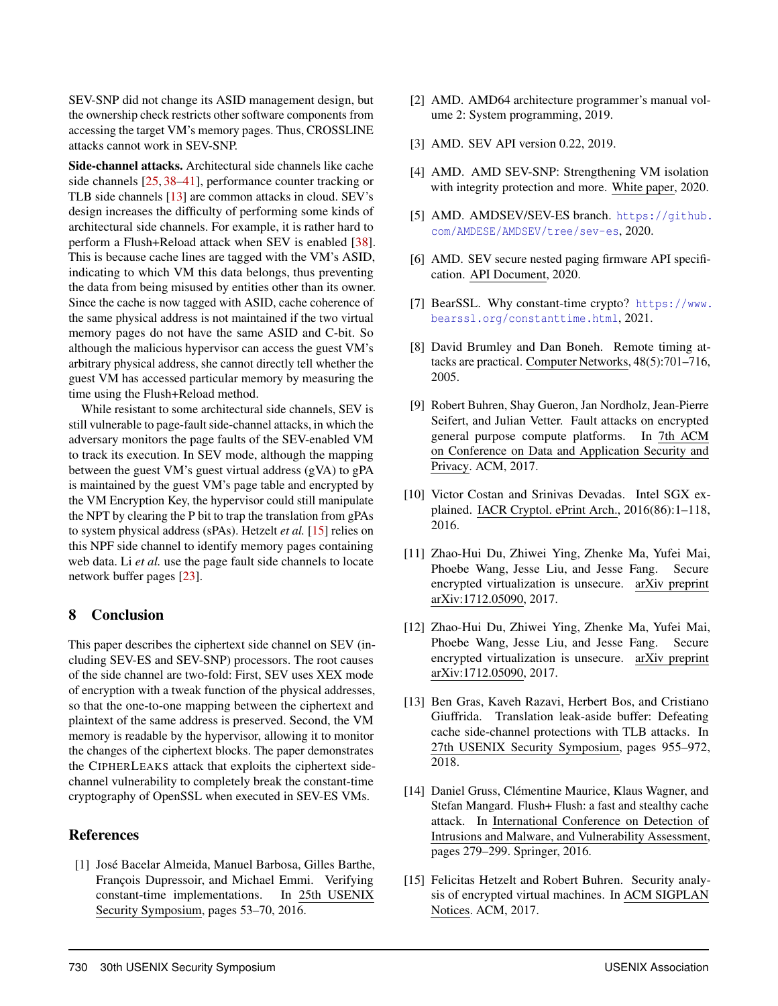SEV-SNP did not change its ASID management design, but the ownership check restricts other software components from accessing the target VM's memory pages. Thus, CROSSLINE attacks cannot work in SEV-SNP.

Side-channel attacks. Architectural side channels like cache side channels [25, 38–41], performance counter tracking or TLB side channels [13] are common attacks in cloud. SEV's design increases the difficulty of performing some kinds of architectural side channels. For example, it is rather hard to perform a Flush+Reload attack when SEV is enabled [38]. This is because cache lines are tagged with the VM's ASID, indicating to which VM this data belongs, thus preventing the data from being misused by entities other than its owner. Since the cache is now tagged with ASID, cache coherence of the same physical address is not maintained if the two virtual memory pages do not have the same ASID and C-bit. So although the malicious hypervisor can access the guest VM's arbitrary physical address, she cannot directly tell whether the guest VM has accessed particular memory by measuring the time using the Flush+Reload method.

While resistant to some architectural side channels, SEV is still vulnerable to page-fault side-channel attacks, in which the adversary monitors the page faults of the SEV-enabled VM to track its execution. In SEV mode, although the mapping between the guest VM's guest virtual address (gVA) to gPA is maintained by the guest VM's page table and encrypted by the VM Encryption Key, the hypervisor could still manipulate the NPT by clearing the P bit to trap the translation from gPAs to system physical address (sPAs). Hetzelt *et al.* [15] relies on this NPF side channel to identify memory pages containing web data. Li *et al.* use the page fault side channels to locate network buffer pages [23].

### 8 Conclusion

This paper describes the ciphertext side channel on SEV (including SEV-ES and SEV-SNP) processors. The root causes of the side channel are two-fold: First, SEV uses XEX mode of encryption with a tweak function of the physical addresses, so that the one-to-one mapping between the ciphertext and plaintext of the same address is preserved. Second, the VM memory is readable by the hypervisor, allowing it to monitor the changes of the ciphertext blocks. The paper demonstrates the CIPHERLEAKS attack that exploits the ciphertext sidechannel vulnerability to completely break the constant-time cryptography of OpenSSL when executed in SEV-ES VMs.

### **References**

[1] José Bacelar Almeida, Manuel Barbosa, Gilles Barthe, François Dupressoir, and Michael Emmi. Verifying constant-time implementations. In 25th USENIX Security Symposium, pages 53–70, 2016.

- [2] AMD. AMD64 architecture programmer's manual volume 2: System programming, 2019.
- [3] AMD. SEV API version 0.22, 2019.
- [4] AMD. AMD SEV-SNP: Strengthening VM isolation with integrity protection and more. White paper, 2020.
- [5] AMD. AMDSEV/SEV-ES branch. https://github. com/AMDESE/AMDSEV/tree/sev-es, 2020.
- [6] AMD. SEV secure nested paging firmware API specification. API Document, 2020.
- [7] BearSSL. Why constant-time crypto? https://www. bearssl.org/constanttime.html, 2021.
- [8] David Brumley and Dan Boneh. Remote timing attacks are practical. Computer Networks, 48(5):701–716, 2005.
- [9] Robert Buhren, Shay Gueron, Jan Nordholz, Jean-Pierre Seifert, and Julian Vetter. Fault attacks on encrypted general purpose compute platforms. In 7th ACM on Conference on Data and Application Security and Privacy. ACM, 2017.
- [10] Victor Costan and Srinivas Devadas. Intel SGX explained. IACR Cryptol. ePrint Arch., 2016(86):1–118, 2016.
- [11] Zhao-Hui Du, Zhiwei Ying, Zhenke Ma, Yufei Mai, Phoebe Wang, Jesse Liu, and Jesse Fang. Secure encrypted virtualization is unsecure. arXiv preprint arXiv:1712.05090, 2017.
- [12] Zhao-Hui Du, Zhiwei Ying, Zhenke Ma, Yufei Mai, Phoebe Wang, Jesse Liu, and Jesse Fang. Secure encrypted virtualization is unsecure. arXiv preprint arXiv:1712.05090, 2017.
- [13] Ben Gras, Kaveh Razavi, Herbert Bos, and Cristiano Giuffrida. Translation leak-aside buffer: Defeating cache side-channel protections with TLB attacks. In 27th USENIX Security Symposium, pages 955–972, 2018.
- [14] Daniel Gruss, Clémentine Maurice, Klaus Wagner, and Stefan Mangard. Flush+ Flush: a fast and stealthy cache attack. In International Conference on Detection of Intrusions and Malware, and Vulnerability Assessment, pages 279–299. Springer, 2016.
- [15] Felicitas Hetzelt and Robert Buhren. Security analysis of encrypted virtual machines. In ACM SIGPLAN Notices. ACM, 2017.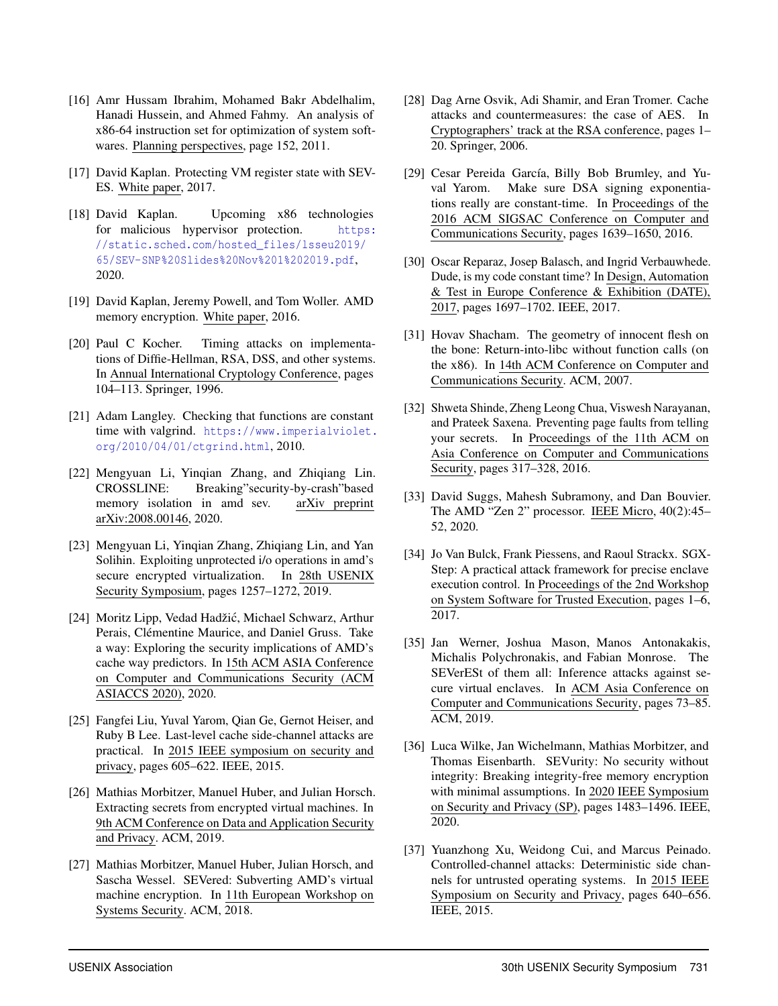- [16] Amr Hussam Ibrahim, Mohamed Bakr Abdelhalim, Hanadi Hussein, and Ahmed Fahmy. An analysis of x86-64 instruction set for optimization of system softwares. Planning perspectives, page 152, 2011.
- [17] David Kaplan. Protecting VM register state with SEV-ES. White paper, 2017.
- [18] David Kaplan. Upcoming x86 technologies for malicious hypervisor protection. https: //static.sched.com/hosted\_files/lsseu2019/ 65/SEV-SNP%20Slides%20Nov%201%202019.pdf, 2020.
- [19] David Kaplan, Jeremy Powell, and Tom Woller. AMD memory encryption. White paper, 2016.
- [20] Paul C Kocher. Timing attacks on implementations of Diffie-Hellman, RSA, DSS, and other systems. In Annual International Cryptology Conference, pages 104–113. Springer, 1996.
- [21] Adam Langley. Checking that functions are constant time with valgrind. https://www.imperialviolet. org/2010/04/01/ctgrind.html, 2010.
- [22] Mengyuan Li, Yinqian Zhang, and Zhiqiang Lin. CROSSLINE: Breaking"security-by-crash"based memory isolation in amd sev. arXiv preprint arXiv:2008.00146, 2020.
- [23] Mengyuan Li, Yinqian Zhang, Zhiqiang Lin, and Yan Solihin. Exploiting unprotected i/o operations in amd's secure encrypted virtualization. In 28th USENIX Security Symposium, pages 1257–1272, 2019.
- [24] Moritz Lipp, Vedad Hadžić, Michael Schwarz, Arthur Perais, Clémentine Maurice, and Daniel Gruss. Take a way: Exploring the security implications of AMD's cache way predictors. In 15th ACM ASIA Conference on Computer and Communications Security (ACM ASIACCS 2020), 2020.
- [25] Fangfei Liu, Yuval Yarom, Qian Ge, Gernot Heiser, and Ruby B Lee. Last-level cache side-channel attacks are practical. In 2015 IEEE symposium on security and privacy, pages 605–622. IEEE, 2015.
- [26] Mathias Morbitzer, Manuel Huber, and Julian Horsch. Extracting secrets from encrypted virtual machines. In 9th ACM Conference on Data and Application Security and Privacy. ACM, 2019.
- [27] Mathias Morbitzer, Manuel Huber, Julian Horsch, and Sascha Wessel. SEVered: Subverting AMD's virtual machine encryption. In 11th European Workshop on Systems Security. ACM, 2018.
- [28] Dag Arne Osvik, Adi Shamir, and Eran Tromer. Cache attacks and countermeasures: the case of AES. In Cryptographers' track at the RSA conference, pages 1– 20. Springer, 2006.
- [29] Cesar Pereida García, Billy Bob Brumley, and Yuval Yarom. Make sure DSA signing exponentiations really are constant-time. In Proceedings of the 2016 ACM SIGSAC Conference on Computer and Communications Security, pages 1639–1650, 2016.
- [30] Oscar Reparaz, Josep Balasch, and Ingrid Verbauwhede. Dude, is my code constant time? In Design, Automation & Test in Europe Conference & Exhibition (DATE), 2017, pages 1697–1702. IEEE, 2017.
- [31] Hovav Shacham. The geometry of innocent flesh on the bone: Return-into-libc without function calls (on the x86). In 14th ACM Conference on Computer and Communications Security. ACM, 2007.
- [32] Shweta Shinde, Zheng Leong Chua, Viswesh Narayanan, and Prateek Saxena. Preventing page faults from telling your secrets. In Proceedings of the 11th ACM on Asia Conference on Computer and Communications Security, pages 317–328, 2016.
- [33] David Suggs, Mahesh Subramony, and Dan Bouvier. The AMD "Zen 2" processor. IEEE Micro, 40(2):45– 52, 2020.
- [34] Jo Van Bulck, Frank Piessens, and Raoul Strackx. SGX-Step: A practical attack framework for precise enclave execution control. In Proceedings of the 2nd Workshop on System Software for Trusted Execution, pages 1–6, 2017.
- [35] Jan Werner, Joshua Mason, Manos Antonakakis, Michalis Polychronakis, and Fabian Monrose. The SEVerESt of them all: Inference attacks against secure virtual enclaves. In ACM Asia Conference on Computer and Communications Security, pages 73–85. ACM, 2019.
- [36] Luca Wilke, Jan Wichelmann, Mathias Morbitzer, and Thomas Eisenbarth. SEVurity: No security without integrity: Breaking integrity-free memory encryption with minimal assumptions. In 2020 IEEE Symposium on Security and Privacy (SP), pages 1483–1496. IEEE, 2020.
- [37] Yuanzhong Xu, Weidong Cui, and Marcus Peinado. Controlled-channel attacks: Deterministic side channels for untrusted operating systems. In 2015 IEEE Symposium on Security and Privacy, pages 640–656. IEEE, 2015.